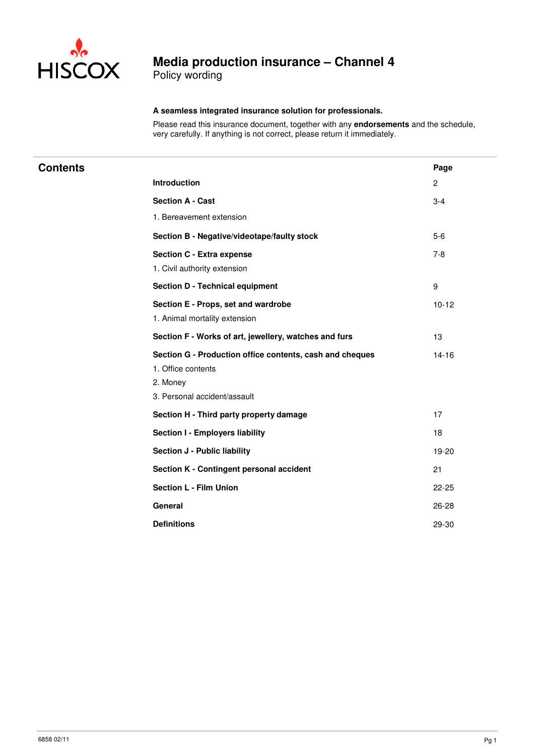

Policy wording

### **A seamless integrated insurance solution for professionals.**

Please read this insurance document, together with any **endorsements** and the schedule, very carefully. If anything is not correct, please return it immediately.

| <b>Contents</b> |                                                          | Page         |
|-----------------|----------------------------------------------------------|--------------|
|                 | Introduction                                             | $\mathbf{2}$ |
|                 | <b>Section A - Cast</b>                                  | $3 - 4$      |
|                 | 1. Bereavement extension                                 |              |
|                 | Section B - Negative/videotape/faulty stock              | $5-6$        |
|                 | <b>Section C - Extra expense</b>                         | $7 - 8$      |
|                 | 1. Civil authority extension                             |              |
|                 | <b>Section D - Technical equipment</b>                   | 9            |
|                 | Section E - Props, set and wardrobe                      | $10 - 12$    |
|                 | 1. Animal mortality extension                            |              |
|                 | Section F - Works of art, jewellery, watches and furs    | 13           |
|                 | Section G - Production office contents, cash and cheques | $14 - 16$    |
|                 | 1. Office contents                                       |              |
|                 | 2. Money                                                 |              |
|                 | 3. Personal accident/assault                             |              |
|                 | Section H - Third party property damage                  | 17           |
|                 | Section I - Employers liability                          | 18           |
|                 | Section J - Public liability                             | 19-20        |
|                 | Section K - Contingent personal accident                 | 21           |
|                 | <b>Section L - Film Union</b>                            | $22 - 25$    |
|                 | General                                                  | 26-28        |
|                 | <b>Definitions</b>                                       | 29-30        |
|                 |                                                          |              |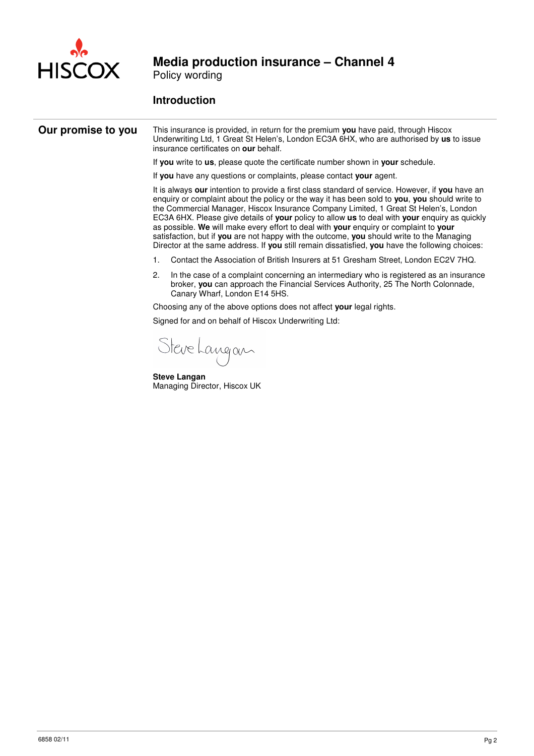

Policy wording

### **Introduction**

### **Our promise to you** This insurance is provided, in return for the premium you have paid, through Hiscox Underwriting Ltd, 1 Great St Helen's, London EC3A 6HX, who are authorised by **us** to issue insurance certificates on **our** behalf. If **you** write to **us**, please quote the certificate number shown in **your** schedule. If **you** have any questions or complaints, please contact **your** agent. It is always **our** intention to provide a first class standard of service. However, if **you** have an enquiry or complaint about the policy or the way it has been sold to **you**, **you** should write to the Commercial Manager, Hiscox Insurance Company Limited, 1 Great St Helen's, London EC3A 6HX. Please give details of **your** policy to allow **us** to deal with **your** enquiry as quickly as possible. **We** will make every effort to deal with **your** enquiry or complaint to **your** satisfaction, but if **you** are not happy with the outcome, **you** should write to the Managing Director at the same address. If **you** still remain dissatisfied, **you** have the following choices: 1. Contact the Association of British Insurers at 51 Gresham Street, London EC2V 7HQ. 2. In the case of a complaint concerning an intermediary who is registered as an insurance broker, **you** can approach the Financial Services Authority, 25 The North Colonnade, Canary Wharf, London E14 5HS. Choosing any of the above options does not affect **your** legal rights. Signed for and on behalf of Hiscox Underwriting Ltd: Steve Langan **Steve Langan**

Managing Director, Hiscox UK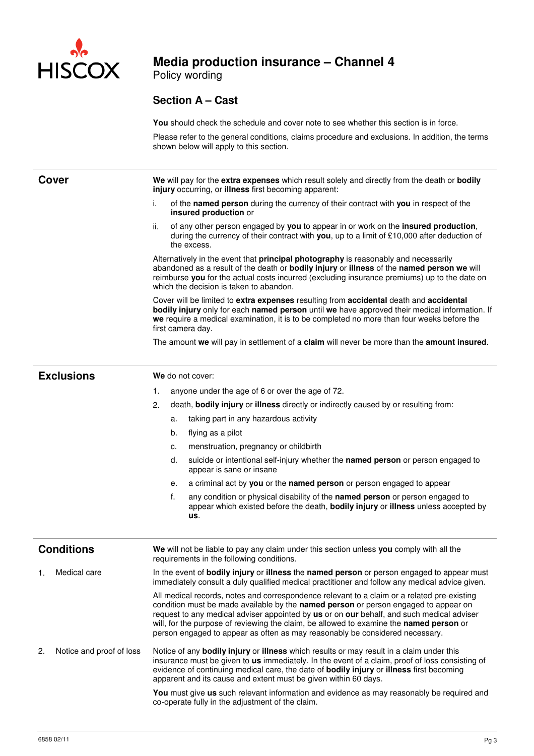

Policy wording

### **Section A – Cast**

**You** should check the schedule and cover note to see whether this section is in force.

Please refer to the general conditions, claims procedure and exclusions. In addition, the terms shown below will apply to this section.

| <b>Cover</b>                   | We will pay for the extra expenses which result solely and directly from the death or bodily<br>injury occurring, or illness first becoming apparent:                                                                                                                                                                                                                                                                                                      |  |  |  |  |
|--------------------------------|------------------------------------------------------------------------------------------------------------------------------------------------------------------------------------------------------------------------------------------------------------------------------------------------------------------------------------------------------------------------------------------------------------------------------------------------------------|--|--|--|--|
|                                | i.<br>of the named person during the currency of their contract with you in respect of the<br>insured production or                                                                                                                                                                                                                                                                                                                                        |  |  |  |  |
|                                | of any other person engaged by you to appear in or work on the insured production,<br>ii.<br>during the currency of their contract with you, up to a limit of £10,000 after deduction of<br>the excess.                                                                                                                                                                                                                                                    |  |  |  |  |
|                                | Alternatively in the event that principal photography is reasonably and necessarily<br>abandoned as a result of the death or bodily injury or illness of the named person we will<br>reimburse you for the actual costs incurred (excluding insurance premiums) up to the date on<br>which the decision is taken to abandon.                                                                                                                               |  |  |  |  |
|                                | Cover will be limited to extra expenses resulting from accidental death and accidental<br>bodily injury only for each named person until we have approved their medical information. If<br>we require a medical examination, it is to be completed no more than four weeks before the<br>first camera day.                                                                                                                                                 |  |  |  |  |
|                                | The amount we will pay in settlement of a claim will never be more than the amount insured.                                                                                                                                                                                                                                                                                                                                                                |  |  |  |  |
| <b>Exclusions</b>              | We do not cover:                                                                                                                                                                                                                                                                                                                                                                                                                                           |  |  |  |  |
|                                | anyone under the age of 6 or over the age of 72.<br>1.                                                                                                                                                                                                                                                                                                                                                                                                     |  |  |  |  |
|                                | death, bodily injury or illness directly or indirectly caused by or resulting from:<br>2.                                                                                                                                                                                                                                                                                                                                                                  |  |  |  |  |
|                                | taking part in any hazardous activity<br>a.                                                                                                                                                                                                                                                                                                                                                                                                                |  |  |  |  |
|                                | flying as a pilot<br>b.                                                                                                                                                                                                                                                                                                                                                                                                                                    |  |  |  |  |
|                                | menstruation, pregnancy or childbirth<br>c.                                                                                                                                                                                                                                                                                                                                                                                                                |  |  |  |  |
|                                | suicide or intentional self-injury whether the named person or person engaged to<br>d.<br>appear is sane or insane                                                                                                                                                                                                                                                                                                                                         |  |  |  |  |
|                                | a criminal act by you or the named person or person engaged to appear<br>е.                                                                                                                                                                                                                                                                                                                                                                                |  |  |  |  |
|                                | f.<br>any condition or physical disability of the named person or person engaged to<br>appear which existed before the death, bodily injury or illness unless accepted by<br>us.                                                                                                                                                                                                                                                                           |  |  |  |  |
|                                |                                                                                                                                                                                                                                                                                                                                                                                                                                                            |  |  |  |  |
| <b>Conditions</b>              | We will not be liable to pay any claim under this section unless you comply with all the<br>requirements in the following conditions.                                                                                                                                                                                                                                                                                                                      |  |  |  |  |
| Medical care<br>1.             | In the event of bodily injury or illness the named person or person engaged to appear must<br>immediately consult a duly qualified medical practitioner and follow any medical advice given.                                                                                                                                                                                                                                                               |  |  |  |  |
|                                | All medical records, notes and correspondence relevant to a claim or a related pre-existing<br>condition must be made available by the named person or person engaged to appear on<br>request to any medical adviser appointed by us or on our behalf, and such medical adviser<br>will, for the purpose of reviewing the claim, be allowed to examine the named person or<br>person engaged to appear as often as may reasonably be considered necessary. |  |  |  |  |
| 2.<br>Notice and proof of loss | Notice of any bodily injury or illness which results or may result in a claim under this<br>insurance must be given to <b>us</b> immediately. In the event of a claim, proof of loss consisting of<br>evidence of continuing medical care, the date of <b>bodily injury</b> or <b>illness</b> first becoming<br>apparent and its cause and extent must be given within 60 days.                                                                            |  |  |  |  |
|                                | <b>You</b> must give us such relevant information and evidence as may reasonably be required and<br>co-operate fully in the adjustment of the claim.                                                                                                                                                                                                                                                                                                       |  |  |  |  |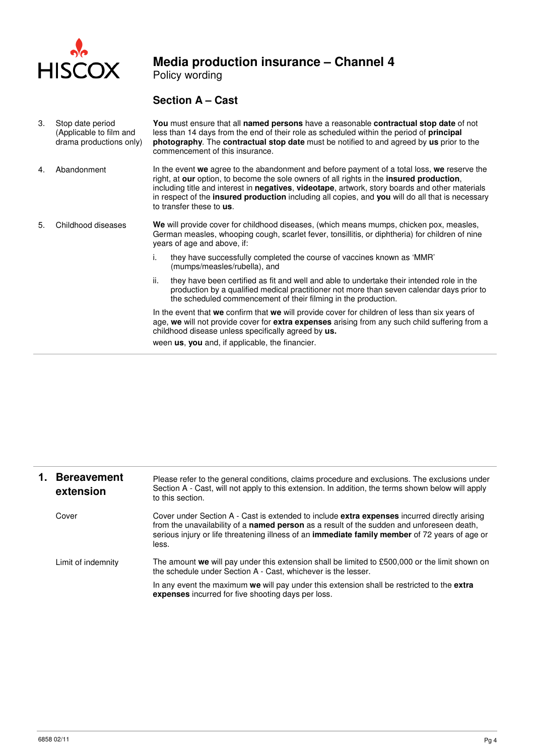

Policy wording

### **Section A – Cast**

| 3. | Stop date period<br>(Applicable to film and<br>drama productions only) |                                                                                                                                                                                                                                                                                                                                                                                                                                   | You must ensure that all named persons have a reasonable contractual stop date of not<br>less than 14 days from the end of their role as scheduled within the period of <b>principal</b><br>photography. The contractual stop date must be notified to and agreed by us prior to the<br>commencement of this insurance. |  |
|----|------------------------------------------------------------------------|-----------------------------------------------------------------------------------------------------------------------------------------------------------------------------------------------------------------------------------------------------------------------------------------------------------------------------------------------------------------------------------------------------------------------------------|-------------------------------------------------------------------------------------------------------------------------------------------------------------------------------------------------------------------------------------------------------------------------------------------------------------------------|--|
| 4. | Abandonment                                                            | In the event we agree to the abandonment and before payment of a total loss, we reserve the<br>right, at our option, to become the sole owners of all rights in the insured production,<br>including title and interest in negatives, videotape, artwork, story boards and other materials<br>in respect of the <b>insured production</b> including all copies, and you will do all that is necessary<br>to transfer these to us. |                                                                                                                                                                                                                                                                                                                         |  |
| 5. | Childhood diseases                                                     | We will provide cover for childhood diseases, (which means mumps, chicken pox, measles,<br>German measles, whooping cough, scarlet fever, tonsillitis, or diphtheria) for children of nine<br>years of age and above, if:                                                                                                                                                                                                         |                                                                                                                                                                                                                                                                                                                         |  |
|    |                                                                        | ۱.                                                                                                                                                                                                                                                                                                                                                                                                                                | they have successfully completed the course of vaccines known as 'MMR'<br>(mumps/measles/rubella), and                                                                                                                                                                                                                  |  |
|    |                                                                        | ii.                                                                                                                                                                                                                                                                                                                                                                                                                               | they have been certified as fit and well and able to undertake their intended role in the<br>production by a qualified medical practitioner not more than seven calendar days prior to<br>the scheduled commencement of their filming in the production.                                                                |  |
|    |                                                                        |                                                                                                                                                                                                                                                                                                                                                                                                                                   | In the event that we confirm that we will provide cover for children of less than six years of<br>age, we will not provide cover for extra expenses arising from any such child suffering from a<br>childhood disease unless specifically agreed by us.<br>ween us, you and, if applicable, the financier.              |  |

| 1. | <b>Bereavement</b><br>extension | Please refer to the general conditions, claims procedure and exclusions. The exclusions under<br>Section A - Cast, will not apply to this extension. In addition, the terms shown below will apply<br>to this section.                                                                                      |  |
|----|---------------------------------|-------------------------------------------------------------------------------------------------------------------------------------------------------------------------------------------------------------------------------------------------------------------------------------------------------------|--|
|    | Cover                           | Cover under Section A - Cast is extended to include <b>extra expenses</b> incurred directly arising<br>from the unavailability of a named person as a result of the sudden and unforeseen death,<br>serious injury or life threatening illness of an immediate family member of 72 years of age or<br>less. |  |
|    | Limit of indemnity              | The amount we will pay under this extension shall be limited to £500,000 or the limit shown on<br>the schedule under Section A - Cast, whichever is the lesser.                                                                                                                                             |  |
|    |                                 | In any event the maximum we will pay under this extension shall be restricted to the extra<br>expenses incurred for five shooting days per loss.                                                                                                                                                            |  |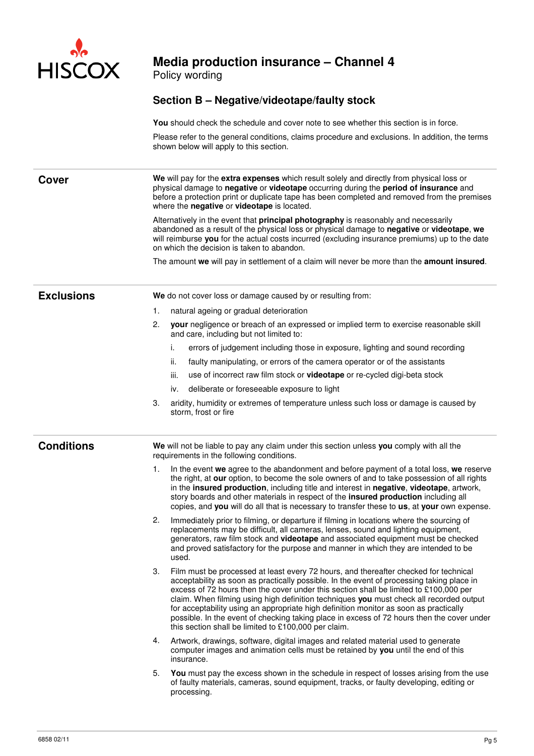

Policy wording

### **Section B – Negative/videotape/faulty stock**

**You** should check the schedule and cover note to see whether this section is in force.

Please refer to the general conditions, claims procedure and exclusions. In addition, the terms shown below will apply to this section.

**Cover We** will pay for the **extra expenses** which result solely and directly from physical loss or physical damage to **negative** or **videotape** occurring during the **period of insurance** and before a protection print or duplicate tape has been completed and removed from the premises where the **negative** or **videotape** is located.

Alternatively in the event that **principal photography** is reasonably and necessarily abandoned as a result of the physical loss or physical damage to **negative** or **videotape**, **we** will reimburse **you** for the actual costs incurred (excluding insurance premiums) up to the date on which the decision is taken to abandon.

The amount **we** will pay in settlement of a claim will never be more than the **amount insured**.

- **Exclusions We** do not cover loss or damage caused by or resulting from:
	- 1. natural ageing or gradual deterioration
	- 2. **your** negligence or breach of an expressed or implied term to exercise reasonable skill and care, including but not limited to:
		- **i.** errors of judgement including those in exposure, lighting and sound recording
		- ii. faulty manipulating, or errors of the camera operator or of the assistants
		- iii. use of incorrect raw film stock or **videotape** or re-cycled digi-beta stock
		- iv. deliberate or foreseeable exposure to light
	- 3. aridity, humidity or extremes of temperature unless such loss or damage is caused by storm, frost or fire

**Conditions We** will not be liable to pay any claim under this section unless **you** comply with all the requirements in the following conditions.

- 1. In the event **we** agree to the abandonment and before payment of a total loss, **we** reserve the right, at **our** option, to become the sole owners of and to take possession of all rights in the **insured production**, including title and interest in **negative**, **videotape**, artwork, story boards and other materials in respect of the **insured production** including all copies, and **you** will do all that is necessary to transfer these to **us**, at **your** own expense.
- 2. Immediately prior to filming, or departure if filming in locations where the sourcing of replacements may be difficult, all cameras, lenses, sound and lighting equipment, generators, raw film stock and **videotape** and associated equipment must be checked and proved satisfactory for the purpose and manner in which they are intended to be used.
- 3. Film must be processed at least every 72 hours, and thereafter checked for technical acceptability as soon as practically possible. In the event of processing taking place in excess of 72 hours then the cover under this section shall be limited to £100,000 per claim. When filming using high definition techniques **you** must check all recorded output for acceptability using an appropriate high definition monitor as soon as practically possible. In the event of checking taking place in excess of 72 hours then the cover under this section shall be limited to  $£100.000$  per claim.
- 4. Artwork, drawings, software, digital images and related material used to generate computer images and animation cells must be retained by **you** until the end of this insurance.
- 5. **You** must pay the excess shown in the schedule in respect of losses arising from the use of faulty materials, cameras, sound equipment, tracks, or faulty developing, editing or processing.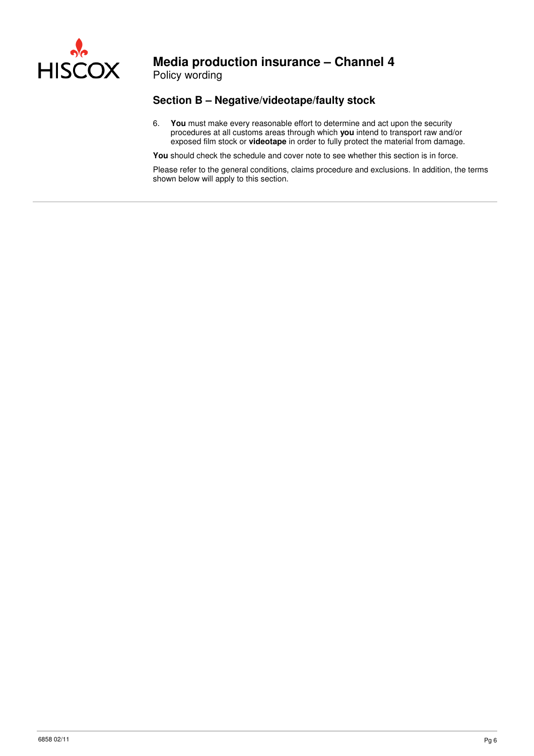

Policy wording

### **Section B – Negative/videotape/faulty stock**

6. **You** must make every reasonable effort to determine and act upon the security procedures at all customs areas through which **you** intend to transport raw and/or exposed film stock or **videotape** in order to fully protect the material from damage.

You should check the schedule and cover note to see whether this section is in force.

Please refer to the general conditions, claims procedure and exclusions. In addition, the terms shown below will apply to this section.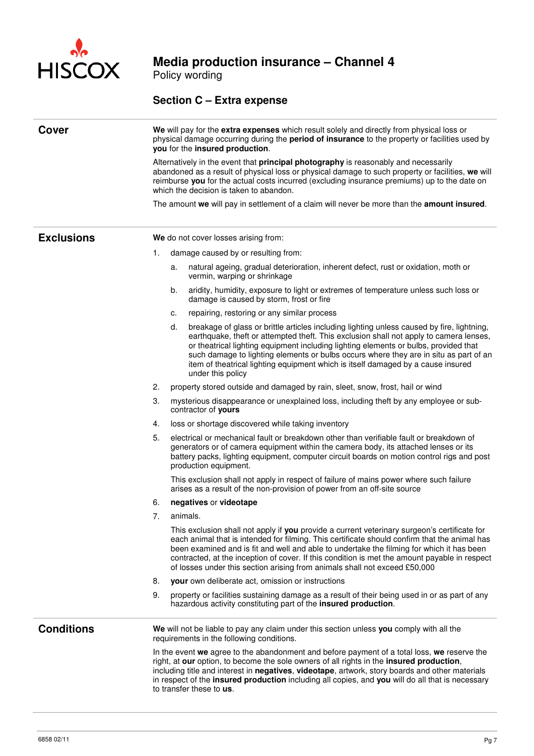

Policy wording

### **Section C – Extra expense**

| Cover             | We will pay for the extra expenses which result solely and directly from physical loss or<br>physical damage occurring during the period of insurance to the property or facilities used by<br>you for the insured production. |                                                                                                                                                                                                                                                                                                                                                                                                                                                                                      |  |  |
|-------------------|--------------------------------------------------------------------------------------------------------------------------------------------------------------------------------------------------------------------------------|--------------------------------------------------------------------------------------------------------------------------------------------------------------------------------------------------------------------------------------------------------------------------------------------------------------------------------------------------------------------------------------------------------------------------------------------------------------------------------------|--|--|
|                   |                                                                                                                                                                                                                                | Alternatively in the event that principal photography is reasonably and necessarily<br>abandoned as a result of physical loss or physical damage to such property or facilities, we will<br>reimburse you for the actual costs incurred (excluding insurance premiums) up to the date on<br>which the decision is taken to abandon.                                                                                                                                                  |  |  |
|                   |                                                                                                                                                                                                                                | The amount we will pay in settlement of a claim will never be more than the amount insured.                                                                                                                                                                                                                                                                                                                                                                                          |  |  |
| <b>Exclusions</b> |                                                                                                                                                                                                                                | We do not cover losses arising from:                                                                                                                                                                                                                                                                                                                                                                                                                                                 |  |  |
|                   | 1.                                                                                                                                                                                                                             | damage caused by or resulting from:                                                                                                                                                                                                                                                                                                                                                                                                                                                  |  |  |
|                   |                                                                                                                                                                                                                                | natural ageing, gradual deterioration, inherent defect, rust or oxidation, moth or<br>a.<br>vermin, warping or shrinkage                                                                                                                                                                                                                                                                                                                                                             |  |  |
|                   |                                                                                                                                                                                                                                | aridity, humidity, exposure to light or extremes of temperature unless such loss or<br>b.<br>damage is caused by storm, frost or fire                                                                                                                                                                                                                                                                                                                                                |  |  |
|                   |                                                                                                                                                                                                                                | repairing, restoring or any similar process<br>c.                                                                                                                                                                                                                                                                                                                                                                                                                                    |  |  |
|                   |                                                                                                                                                                                                                                | d.<br>breakage of glass or brittle articles including lighting unless caused by fire, lightning,<br>earthquake, theft or attempted theft. This exclusion shall not apply to camera lenses,<br>or theatrical lighting equipment including lighting elements or bulbs, provided that<br>such damage to lighting elements or bulbs occurs where they are in situ as part of an<br>item of theatrical lighting equipment which is itself damaged by a cause insured<br>under this policy |  |  |
|                   | 2.                                                                                                                                                                                                                             | property stored outside and damaged by rain, sleet, snow, frost, hail or wind                                                                                                                                                                                                                                                                                                                                                                                                        |  |  |
|                   | 3.                                                                                                                                                                                                                             | mysterious disappearance or unexplained loss, including theft by any employee or sub-<br>contractor of yours                                                                                                                                                                                                                                                                                                                                                                         |  |  |
|                   | 4.                                                                                                                                                                                                                             | loss or shortage discovered while taking inventory                                                                                                                                                                                                                                                                                                                                                                                                                                   |  |  |
|                   | 5.                                                                                                                                                                                                                             | electrical or mechanical fault or breakdown other than verifiable fault or breakdown of<br>generators or of camera equipment within the camera body, its attached lenses or its<br>battery packs, lighting equipment, computer circuit boards on motion control rigs and post<br>production equipment.                                                                                                                                                                               |  |  |
|                   |                                                                                                                                                                                                                                | This exclusion shall not apply in respect of failure of mains power where such failure<br>arises as a result of the non-provision of power from an off-site source                                                                                                                                                                                                                                                                                                                   |  |  |
|                   | 6.                                                                                                                                                                                                                             | negatives or videotape                                                                                                                                                                                                                                                                                                                                                                                                                                                               |  |  |
|                   | 7.                                                                                                                                                                                                                             | animals.                                                                                                                                                                                                                                                                                                                                                                                                                                                                             |  |  |
|                   |                                                                                                                                                                                                                                | This exclusion shall not apply if you provide a current veterinary surgeon's certificate for<br>each animal that is intended for filming. This certificate should confirm that the animal has<br>been examined and is fit and well and able to undertake the filming for which it has been<br>contracted, at the inception of cover. If this condition is met the amount payable in respect<br>of losses under this section arising from animals shall not exceed £50,000            |  |  |
|                   | 8.                                                                                                                                                                                                                             | your own deliberate act, omission or instructions                                                                                                                                                                                                                                                                                                                                                                                                                                    |  |  |
|                   | 9.                                                                                                                                                                                                                             | property or facilities sustaining damage as a result of their being used in or as part of any<br>hazardous activity constituting part of the insured production.                                                                                                                                                                                                                                                                                                                     |  |  |
| <b>Conditions</b> |                                                                                                                                                                                                                                | We will not be liable to pay any claim under this section unless you comply with all the<br>requirements in the following conditions.                                                                                                                                                                                                                                                                                                                                                |  |  |
|                   |                                                                                                                                                                                                                                | In the event we agree to the abandonment and before payment of a total loss, we reserve the<br>right, at our option, to become the sole owners of all rights in the insured production,<br>including title and interest in negatives, videotape, artwork, story boards and other materials<br>in respect of the insured production including all copies, and you will do all that is necessary<br>to transfer these to us.                                                           |  |  |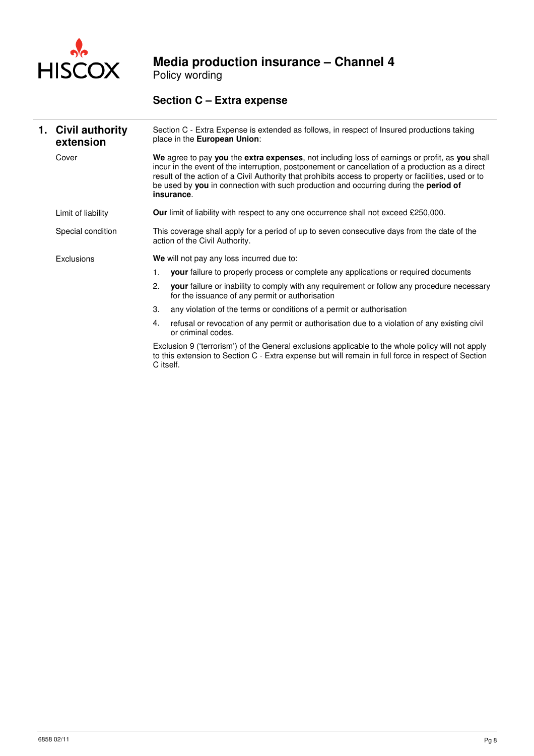

Policy wording

### **Section C – Extra expense**

| 1. Civil authority<br>extension |                                                                                                                               | Section C - Extra Expense is extended as follows, in respect of Insured productions taking<br>place in the European Union:                                                                                                                                                                                                                                                                                        |
|---------------------------------|-------------------------------------------------------------------------------------------------------------------------------|-------------------------------------------------------------------------------------------------------------------------------------------------------------------------------------------------------------------------------------------------------------------------------------------------------------------------------------------------------------------------------------------------------------------|
| Cover                           |                                                                                                                               | We agree to pay you the extra expenses, not including loss of earnings or profit, as you shall<br>incur in the event of the interruption, postponement or cancellation of a production as a direct<br>result of the action of a Civil Authority that prohibits access to property or facilities, used or to<br>be used by you in connection with such production and occurring during the period of<br>insurance. |
| Limit of liability              |                                                                                                                               | <b>Our</b> limit of liability with respect to any one occurrence shall not exceed £250,000.                                                                                                                                                                                                                                                                                                                       |
| Special condition               | This coverage shall apply for a period of up to seven consecutive days from the date of the<br>action of the Civil Authority. |                                                                                                                                                                                                                                                                                                                                                                                                                   |
| Exclusions                      |                                                                                                                               | We will not pay any loss incurred due to:                                                                                                                                                                                                                                                                                                                                                                         |
|                                 | 1.                                                                                                                            | <b>your</b> failure to properly process or complete any applications or required documents                                                                                                                                                                                                                                                                                                                        |
|                                 | 2.                                                                                                                            | your failure or inability to comply with any requirement or follow any procedure necessary<br>for the issuance of any permit or authorisation                                                                                                                                                                                                                                                                     |
|                                 | 3.                                                                                                                            | any violation of the terms or conditions of a permit or authorisation                                                                                                                                                                                                                                                                                                                                             |
|                                 | 4.                                                                                                                            | refusal or revocation of any permit or authorisation due to a violation of any existing civil<br>or criminal codes.                                                                                                                                                                                                                                                                                               |
|                                 |                                                                                                                               | Exclusion 9 ('terrorism') of the General exclusions applicable to the whole policy will not apply<br>to this extension to Section C - Extra expense but will remain in full force in respect of Section<br>C itself.                                                                                                                                                                                              |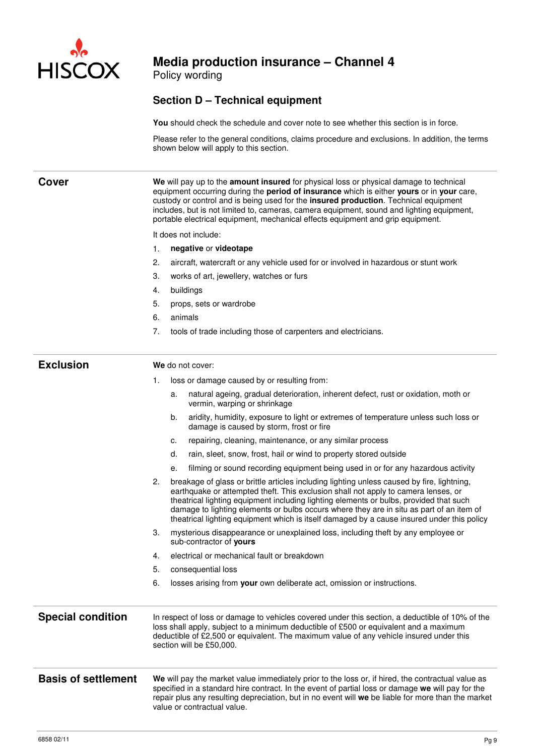

Policy wording

### **Section D – Technical equipment**

**You** should check the schedule and cover note to see whether this section is in force.

Please refer to the general conditions, claims procedure and exclusions. In addition, the terms shown below will apply to this section.

| <b>Cover</b>               | We will pay up to the amount insured for physical loss or physical damage to technical<br>equipment occurring during the period of insurance which is either yours or in your care,<br>custody or control and is being used for the insured production. Technical equipment<br>includes, but is not limited to, cameras, camera equipment, sound and lighting equipment,<br>portable electrical equipment, mechanical effects equipment and grip equipment.                |  |  |  |  |  |
|----------------------------|----------------------------------------------------------------------------------------------------------------------------------------------------------------------------------------------------------------------------------------------------------------------------------------------------------------------------------------------------------------------------------------------------------------------------------------------------------------------------|--|--|--|--|--|
|                            | It does not include:                                                                                                                                                                                                                                                                                                                                                                                                                                                       |  |  |  |  |  |
|                            | 1.<br>negative or videotape                                                                                                                                                                                                                                                                                                                                                                                                                                                |  |  |  |  |  |
|                            | 2.<br>aircraft, watercraft or any vehicle used for or involved in hazardous or stunt work                                                                                                                                                                                                                                                                                                                                                                                  |  |  |  |  |  |
|                            | 3.<br>works of art, jewellery, watches or furs                                                                                                                                                                                                                                                                                                                                                                                                                             |  |  |  |  |  |
|                            | buildings<br>4.                                                                                                                                                                                                                                                                                                                                                                                                                                                            |  |  |  |  |  |
|                            | 5.<br>props, sets or wardrobe                                                                                                                                                                                                                                                                                                                                                                                                                                              |  |  |  |  |  |
|                            | animals<br>6.                                                                                                                                                                                                                                                                                                                                                                                                                                                              |  |  |  |  |  |
|                            | 7.<br>tools of trade including those of carpenters and electricians.                                                                                                                                                                                                                                                                                                                                                                                                       |  |  |  |  |  |
|                            |                                                                                                                                                                                                                                                                                                                                                                                                                                                                            |  |  |  |  |  |
| <b>Exclusion</b>           | We do not cover:                                                                                                                                                                                                                                                                                                                                                                                                                                                           |  |  |  |  |  |
|                            | loss or damage caused by or resulting from:<br>1.                                                                                                                                                                                                                                                                                                                                                                                                                          |  |  |  |  |  |
|                            | natural ageing, gradual deterioration, inherent defect, rust or oxidation, moth or<br>a.<br>vermin, warping or shrinkage                                                                                                                                                                                                                                                                                                                                                   |  |  |  |  |  |
|                            | b.<br>aridity, humidity, exposure to light or extremes of temperature unless such loss or<br>damage is caused by storm, frost or fire                                                                                                                                                                                                                                                                                                                                      |  |  |  |  |  |
|                            | repairing, cleaning, maintenance, or any similar process<br>c.                                                                                                                                                                                                                                                                                                                                                                                                             |  |  |  |  |  |
|                            | rain, sleet, snow, frost, hail or wind to property stored outside<br>d.                                                                                                                                                                                                                                                                                                                                                                                                    |  |  |  |  |  |
|                            | filming or sound recording equipment being used in or for any hazardous activity<br>е.                                                                                                                                                                                                                                                                                                                                                                                     |  |  |  |  |  |
|                            | 2.<br>breakage of glass or brittle articles including lighting unless caused by fire, lightning,<br>earthquake or attempted theft. This exclusion shall not apply to camera lenses, or<br>theatrical lighting equipment including lighting elements or bulbs, provided that such<br>damage to lighting elements or bulbs occurs where they are in situ as part of an item of<br>theatrical lighting equipment which is itself damaged by a cause insured under this policy |  |  |  |  |  |
|                            | 3.<br>mysterious disappearance or unexplained loss, including theft by any employee or<br>sub-contractor of yours                                                                                                                                                                                                                                                                                                                                                          |  |  |  |  |  |
|                            | electrical or mechanical fault or breakdown<br>4.                                                                                                                                                                                                                                                                                                                                                                                                                          |  |  |  |  |  |
|                            | 5.<br>consequential loss                                                                                                                                                                                                                                                                                                                                                                                                                                                   |  |  |  |  |  |
|                            | 6.<br>losses arising from your own deliberate act, omission or instructions.                                                                                                                                                                                                                                                                                                                                                                                               |  |  |  |  |  |
| <b>Special condition</b>   | In respect of loss or damage to vehicles covered under this section, a deductible of 10% of the<br>loss shall apply, subject to a minimum deductible of £500 or equivalent and a maximum<br>deductible of £2,500 or equivalent. The maximum value of any vehicle insured under this<br>section will be £50,000.                                                                                                                                                            |  |  |  |  |  |
| <b>Basis of settlement</b> | We will pay the market value immediately prior to the loss or, if hired, the contractual value as<br>specified in a standard hire contract. In the event of partial loss or damage we will pay for the<br>repair plus any resulting depreciation, but in no event will we be liable for more than the market<br>value or contractual value.                                                                                                                                |  |  |  |  |  |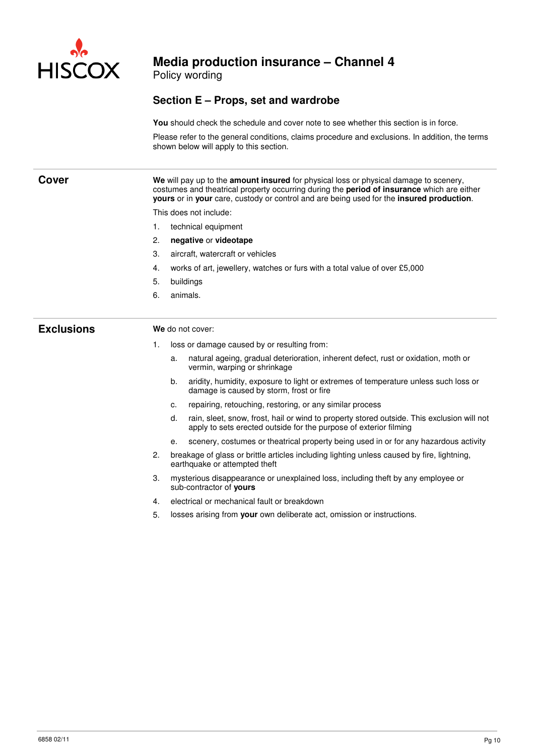

Policy wording

### **Section E – Props, set and wardrobe**

**You** should check the schedule and cover note to see whether this section is in force.

Please refer to the general conditions, claims procedure and exclusions. In addition, the terms shown below will apply to this section.

| Cover             | We will pay up to the amount insured for physical loss or physical damage to scenery,<br>costumes and theatrical property occurring during the period of insurance which are either<br>yours or in your care, custody or control and are being used for the insured production.<br>This does not include: |  |  |  |  |
|-------------------|-----------------------------------------------------------------------------------------------------------------------------------------------------------------------------------------------------------------------------------------------------------------------------------------------------------|--|--|--|--|
|                   |                                                                                                                                                                                                                                                                                                           |  |  |  |  |
|                   | technical equipment<br>1.                                                                                                                                                                                                                                                                                 |  |  |  |  |
|                   | 2.<br>negative or videotape                                                                                                                                                                                                                                                                               |  |  |  |  |
|                   | 3.<br>aircraft, watercraft or vehicles                                                                                                                                                                                                                                                                    |  |  |  |  |
|                   | works of art, jewellery, watches or furs with a total value of over £5,000<br>4.                                                                                                                                                                                                                          |  |  |  |  |
|                   | 5.<br>buildings                                                                                                                                                                                                                                                                                           |  |  |  |  |
|                   | 6.<br>animals.                                                                                                                                                                                                                                                                                            |  |  |  |  |
| <b>Exclusions</b> | We do not cover:                                                                                                                                                                                                                                                                                          |  |  |  |  |
|                   | loss or damage caused by or resulting from:<br>1.                                                                                                                                                                                                                                                         |  |  |  |  |
|                   | natural ageing, gradual deterioration, inherent defect, rust or oxidation, moth or<br>a.<br>vermin, warping or shrinkage                                                                                                                                                                                  |  |  |  |  |
|                   | b.<br>aridity, humidity, exposure to light or extremes of temperature unless such loss or<br>damage is caused by storm, frost or fire                                                                                                                                                                     |  |  |  |  |
|                   | repairing, retouching, restoring, or any similar process<br>c.                                                                                                                                                                                                                                            |  |  |  |  |
|                   | rain, sleet, snow, frost, hail or wind to property stored outside. This exclusion will not<br>d.<br>apply to sets erected outside for the purpose of exterior filming                                                                                                                                     |  |  |  |  |
|                   | scenery, costumes or theatrical property being used in or for any hazardous activity<br>е.                                                                                                                                                                                                                |  |  |  |  |
|                   | 2.<br>breakage of glass or brittle articles including lighting unless caused by fire, lightning,<br>earthquake or attempted theft                                                                                                                                                                         |  |  |  |  |
|                   | mysterious disappearance or unexplained loss, including theft by any employee or<br>3.<br>sub-contractor of yours                                                                                                                                                                                         |  |  |  |  |
|                   | electrical or mechanical fault or breakdown<br>4.                                                                                                                                                                                                                                                         |  |  |  |  |
|                   | 5.<br>losses arising from your own deliberate act, omission or instructions.                                                                                                                                                                                                                              |  |  |  |  |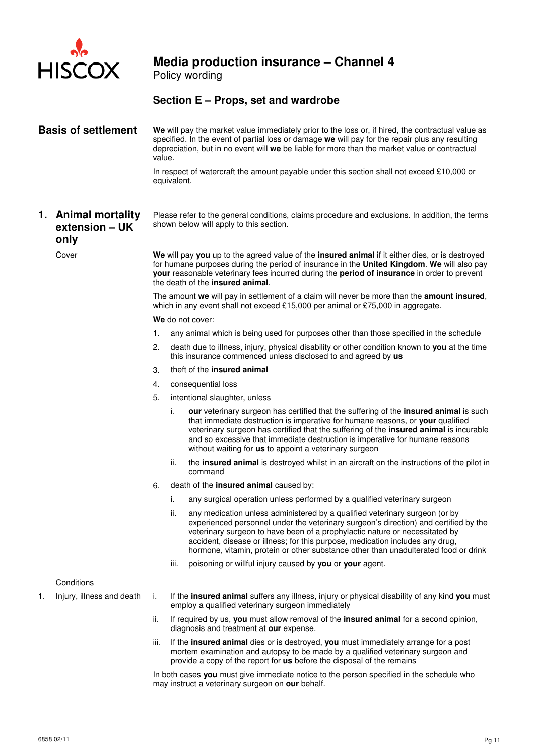

Policy wording

### **Section E – Props, set and wardrobe**

| <b>Basis of settlement</b> |                                               | We will pay the market value immediately prior to the loss or, if hired, the contractual value as<br>specified. In the event of partial loss or damage we will pay for the repair plus any resulting<br>depreciation, but in no event will we be liable for more than the market value or contractual<br>value.<br>In respect of watercraft the amount payable under this section shall not exceed £10,000 or |                                                                                                                                                                                                                                                                                                                                                                                                                                   |  |  |
|----------------------------|-----------------------------------------------|---------------------------------------------------------------------------------------------------------------------------------------------------------------------------------------------------------------------------------------------------------------------------------------------------------------------------------------------------------------------------------------------------------------|-----------------------------------------------------------------------------------------------------------------------------------------------------------------------------------------------------------------------------------------------------------------------------------------------------------------------------------------------------------------------------------------------------------------------------------|--|--|
|                            |                                               |                                                                                                                                                                                                                                                                                                                                                                                                               | equivalent.                                                                                                                                                                                                                                                                                                                                                                                                                       |  |  |
|                            |                                               |                                                                                                                                                                                                                                                                                                                                                                                                               |                                                                                                                                                                                                                                                                                                                                                                                                                                   |  |  |
|                            | 1. Animal mortality<br>extension - UK<br>only | Please refer to the general conditions, claims procedure and exclusions. In addition, the terms<br>shown below will apply to this section.                                                                                                                                                                                                                                                                    |                                                                                                                                                                                                                                                                                                                                                                                                                                   |  |  |
|                            | Cover                                         |                                                                                                                                                                                                                                                                                                                                                                                                               | We will pay you up to the agreed value of the insured animal if it either dies, or is destroyed<br>for humane purposes during the period of insurance in the United Kingdom. We will also pay<br>your reasonable veterinary fees incurred during the period of insurance in order to prevent<br>the death of the insured animal.                                                                                                  |  |  |
|                            |                                               |                                                                                                                                                                                                                                                                                                                                                                                                               | The amount we will pay in settlement of a claim will never be more than the amount insured,<br>which in any event shall not exceed £15,000 per animal or £75,000 in aggregate.                                                                                                                                                                                                                                                    |  |  |
|                            |                                               |                                                                                                                                                                                                                                                                                                                                                                                                               | We do not cover:                                                                                                                                                                                                                                                                                                                                                                                                                  |  |  |
|                            |                                               | 1.                                                                                                                                                                                                                                                                                                                                                                                                            | any animal which is being used for purposes other than those specified in the schedule                                                                                                                                                                                                                                                                                                                                            |  |  |
|                            |                                               | 2.                                                                                                                                                                                                                                                                                                                                                                                                            | death due to illness, injury, physical disability or other condition known to you at the time<br>this insurance commenced unless disclosed to and agreed by us                                                                                                                                                                                                                                                                    |  |  |
|                            |                                               | З.                                                                                                                                                                                                                                                                                                                                                                                                            | theft of the <b>insured</b> animal                                                                                                                                                                                                                                                                                                                                                                                                |  |  |
|                            |                                               | 4.                                                                                                                                                                                                                                                                                                                                                                                                            | consequential loss                                                                                                                                                                                                                                                                                                                                                                                                                |  |  |
|                            |                                               | 5.                                                                                                                                                                                                                                                                                                                                                                                                            | intentional slaughter, unless                                                                                                                                                                                                                                                                                                                                                                                                     |  |  |
|                            |                                               |                                                                                                                                                                                                                                                                                                                                                                                                               | i.<br>our veterinary surgeon has certified that the suffering of the insured animal is such<br>that immediate destruction is imperative for humane reasons, or your qualified<br>veterinary surgeon has certified that the suffering of the insured animal is incurable<br>and so excessive that immediate destruction is imperative for humane reasons<br>without waiting for us to appoint a veterinary surgeon                 |  |  |
|                            |                                               |                                                                                                                                                                                                                                                                                                                                                                                                               | ii.<br>the insured animal is destroyed whilst in an aircraft on the instructions of the pilot in<br>command                                                                                                                                                                                                                                                                                                                       |  |  |
|                            |                                               | 6.                                                                                                                                                                                                                                                                                                                                                                                                            | death of the insured animal caused by:                                                                                                                                                                                                                                                                                                                                                                                            |  |  |
|                            |                                               |                                                                                                                                                                                                                                                                                                                                                                                                               | i.<br>any surgical operation unless performed by a qualified veterinary surgeon                                                                                                                                                                                                                                                                                                                                                   |  |  |
|                            |                                               |                                                                                                                                                                                                                                                                                                                                                                                                               | ii.<br>any medication unless administered by a qualified veterinary surgeon (or by<br>experienced personnel under the veterinary surgeon's direction) and certified by the<br>veterinary surgeon to have been of a prophylactic nature or necessitated by<br>accident, disease or illness; for this purpose, medication includes any drug,<br>hormone, vitamin, protein or other substance other than unadulterated food or drink |  |  |
|                            |                                               |                                                                                                                                                                                                                                                                                                                                                                                                               | poisoning or willful injury caused by you or your agent.<br>iii.                                                                                                                                                                                                                                                                                                                                                                  |  |  |
|                            | Conditions                                    |                                                                                                                                                                                                                                                                                                                                                                                                               |                                                                                                                                                                                                                                                                                                                                                                                                                                   |  |  |
| 1.                         | Injury, illness and death                     | i.                                                                                                                                                                                                                                                                                                                                                                                                            | If the insured animal suffers any illness, injury or physical disability of any kind you must<br>employ a qualified veterinary surgeon immediately                                                                                                                                                                                                                                                                                |  |  |
|                            |                                               | ii.                                                                                                                                                                                                                                                                                                                                                                                                           | If required by us, you must allow removal of the insured animal for a second opinion,<br>diagnosis and treatment at our expense.                                                                                                                                                                                                                                                                                                  |  |  |
|                            |                                               | iii.                                                                                                                                                                                                                                                                                                                                                                                                          | If the insured animal dies or is destroyed, you must immediately arrange for a post<br>mortem examination and autopsy to be made by a qualified veterinary surgeon and<br>provide a copy of the report for us before the disposal of the remains                                                                                                                                                                                  |  |  |
|                            |                                               |                                                                                                                                                                                                                                                                                                                                                                                                               | In both cases you must give immediate notice to the person specified in the schedule who<br>may instruct a veterinary surgeon on our behalf.                                                                                                                                                                                                                                                                                      |  |  |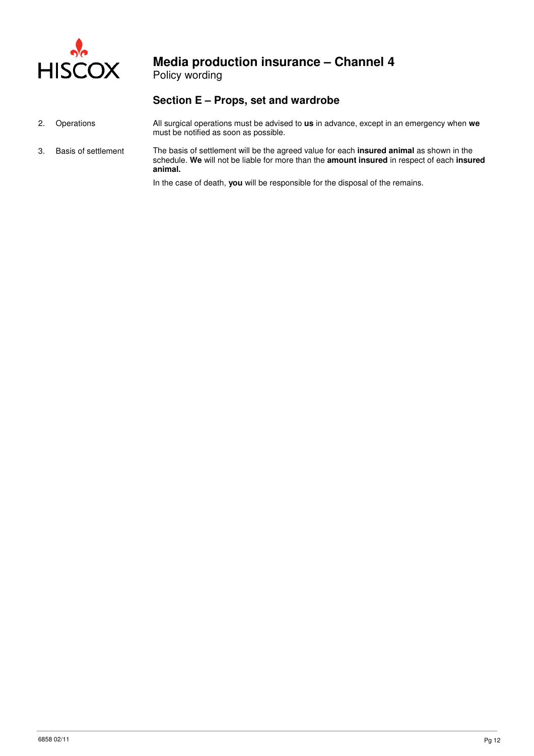

Policy wording

### **Section E – Props, set and wardrobe**

- 2. Operations All surgical operations must be advised to **us** in advance, except in an emergency when **we** must be notified as soon as possible.
- 3. Basis of settlement The basis of settlement will be the agreed value for each **insured animal** as shown in the schedule. **We** will not be liable for more than the **amount insured** in respect of each **insured animal.**

In the case of death, **you** will be responsible for the disposal of the remains.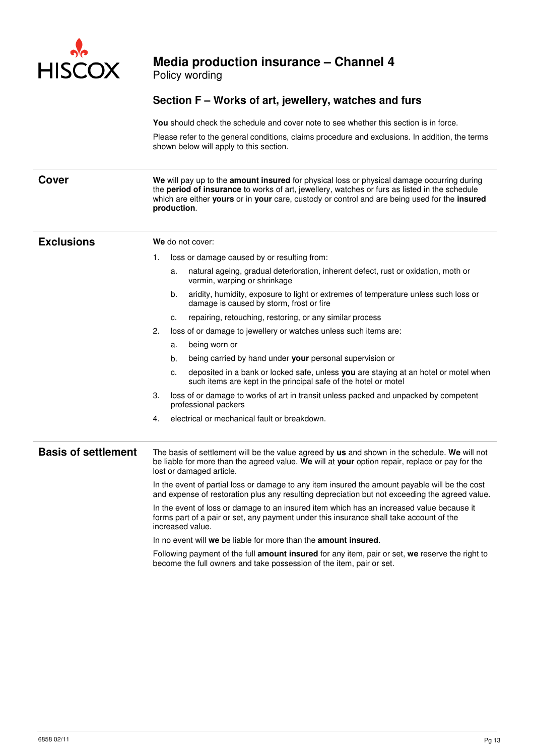

Policy wording

### **Section F – Works of art, jewellery, watches and furs**

**You** should check the schedule and cover note to see whether this section is in force.

Please refer to the general conditions, claims procedure and exclusions. In addition, the terms shown below will apply to this section.

**Cover We** will pay up to the **amount insured** for physical loss or physical damage occurring during the **period of insurance** to works of art, jewellery, watches or furs as listed in the schedule which are either **yours** or in **your** care, custody or control and are being used for the **insured production**.

### **Exclusions We** do not cover:

- 1. loss or damage caused by or resulting from:
	- a. natural ageing, gradual deterioration, inherent defect, rust or oxidation, moth or vermin, warping or shrinkage
	- b. aridity, humidity, exposure to light or extremes of temperature unless such loss or damage is caused by storm, frost or fire
	- c. repairing, retouching, restoring, or any similar process
- 2. loss of or damage to jewellery or watches unless such items are:
	- a. being worn or
	- b. being carried by hand under **your** personal supervision or
	- c. deposited in a bank or locked safe, unless **you** are staying at an hotel or motel when such items are kept in the principal safe of the hotel or motel
- 3. loss of or damage to works of art in transit unless packed and unpacked by competent professional packers
- 4. electrical or mechanical fault or breakdown.

**Basis of settlement** The basis of settlement will be the value agreed by **us** and shown in the schedule. **We** will not be liable for more than the agreed value. **We** will at **your** option repair, replace or pay for the lost or damaged article.

> In the event of partial loss or damage to any item insured the amount payable will be the cost and expense of restoration plus any resulting depreciation but not exceeding the agreed value.

In the event of loss or damage to an insured item which has an increased value because it forms part of a pair or set, any payment under this insurance shall take account of the increased value.

In no event will **we** be liable for more than the **amount insured**.

Following payment of the full **amount insured** for any item, pair or set, **we** reserve the right to become the full owners and take possession of the item, pair or set.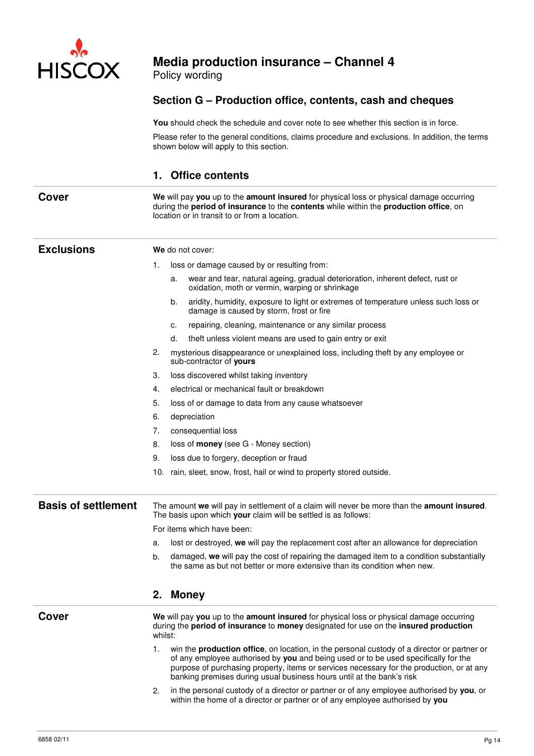

Policy wording

### **Section G – Production office, contents, cash and cheques**

You should check the schedule and cover note to see whether this section is in force.

Please refer to the general conditions, claims procedure and exclusions. In addition, the terms shown below will apply to this section.

### **1. Office contents**

**Cover We** will pay you up to the **amount insured** for physical loss or physical damage occurring during the **period of insurance** to the **contents** while within the **production office**, on location or in transit to or from a location.

| <b>Exclusions</b>          | We do not cover: |                                                                                                                                                                                                                                                                                                                                                                  |  |  |
|----------------------------|------------------|------------------------------------------------------------------------------------------------------------------------------------------------------------------------------------------------------------------------------------------------------------------------------------------------------------------------------------------------------------------|--|--|
|                            | 1.               | loss or damage caused by or resulting from:                                                                                                                                                                                                                                                                                                                      |  |  |
|                            |                  | wear and tear, natural ageing, gradual deterioration, inherent defect, rust or<br>a.<br>oxidation, moth or vermin, warping or shrinkage                                                                                                                                                                                                                          |  |  |
|                            |                  | aridity, humidity, exposure to light or extremes of temperature unless such loss or<br>b.<br>damage is caused by storm, frost or fire                                                                                                                                                                                                                            |  |  |
|                            |                  | repairing, cleaning, maintenance or any similar process<br>c.                                                                                                                                                                                                                                                                                                    |  |  |
|                            |                  | d.<br>theft unless violent means are used to gain entry or exit                                                                                                                                                                                                                                                                                                  |  |  |
|                            | 2.               | mysterious disappearance or unexplained loss, including theft by any employee or<br>sub-contractor of yours                                                                                                                                                                                                                                                      |  |  |
|                            | 3.               | loss discovered whilst taking inventory                                                                                                                                                                                                                                                                                                                          |  |  |
|                            | 4.               | electrical or mechanical fault or breakdown                                                                                                                                                                                                                                                                                                                      |  |  |
|                            | 5.               | loss of or damage to data from any cause whatsoever                                                                                                                                                                                                                                                                                                              |  |  |
|                            | 6.               | depreciation                                                                                                                                                                                                                                                                                                                                                     |  |  |
|                            | 7.               | consequential loss                                                                                                                                                                                                                                                                                                                                               |  |  |
|                            | 8.               | loss of money (see G - Money section)                                                                                                                                                                                                                                                                                                                            |  |  |
|                            | 9.               | loss due to forgery, deception or fraud                                                                                                                                                                                                                                                                                                                          |  |  |
|                            |                  | 10. rain, sleet, snow, frost, hail or wind to property stored outside.                                                                                                                                                                                                                                                                                           |  |  |
|                            |                  |                                                                                                                                                                                                                                                                                                                                                                  |  |  |
| <b>Basis of settlement</b> |                  | The amount we will pay in settlement of a claim will never be more than the amount insured.<br>The basis upon which your claim will be settled is as follows:                                                                                                                                                                                                    |  |  |
|                            |                  | For items which have been:                                                                                                                                                                                                                                                                                                                                       |  |  |
|                            | a.               | lost or destroyed, we will pay the replacement cost after an allowance for depreciation                                                                                                                                                                                                                                                                          |  |  |
|                            | b.               | damaged, we will pay the cost of repairing the damaged item to a condition substantially<br>the same as but not better or more extensive than its condition when new.                                                                                                                                                                                            |  |  |
|                            | 2.               | <b>Money</b>                                                                                                                                                                                                                                                                                                                                                     |  |  |
| Cover                      |                  | We will pay you up to the amount insured for physical loss or physical damage occurring<br>during the period of insurance to money designated for use on the insured production<br>whilst:                                                                                                                                                                       |  |  |
|                            | 1.               | win the <b>production office</b> , on location, in the personal custody of a director or partner or<br>of any employee authorised by you and being used or to be used specifically for the<br>purpose of purchasing property, items or services necessary for the production, or at any<br>banking premises during usual business hours until at the bank's risk |  |  |
|                            | 2.               | in the personal custody of a director or partner or of any employee authorised by you, or<br>within the home of a director or partner or of any employee authorised by you                                                                                                                                                                                       |  |  |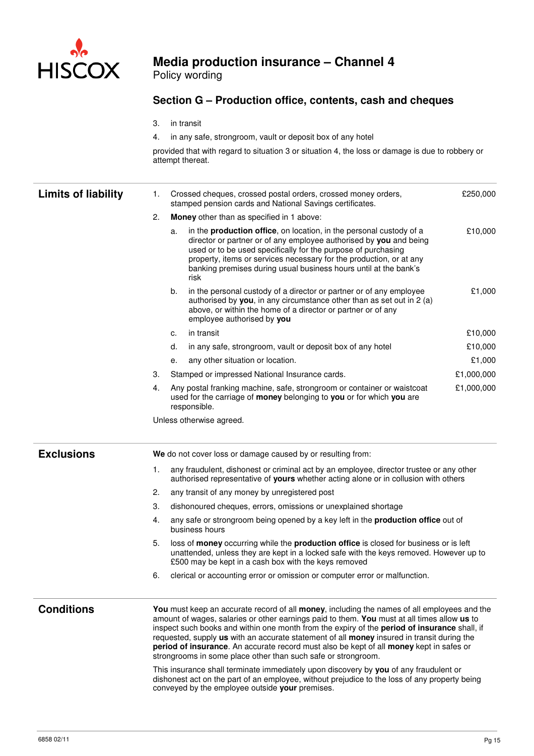

Policy wording

### **Section G – Production office, contents, cash and cheques**

- 3. in transit
- 4. in any safe, strongroom, vault or deposit box of any hotel

provided that with regard to situation 3 or situation 4, the loss or damage is due to robbery or attempt thereat.

| <b>Limits of liability</b> | 1. | Crossed cheques, crossed postal orders, crossed money orders,<br>stamped pension cards and National Savings certificates.                                                                                                                                                                                                                                                                                                                                                                                                                                                                                                                                                                                                                                                                         | £250,000   |
|----------------------------|----|---------------------------------------------------------------------------------------------------------------------------------------------------------------------------------------------------------------------------------------------------------------------------------------------------------------------------------------------------------------------------------------------------------------------------------------------------------------------------------------------------------------------------------------------------------------------------------------------------------------------------------------------------------------------------------------------------------------------------------------------------------------------------------------------------|------------|
|                            | 2. | Money other than as specified in 1 above:                                                                                                                                                                                                                                                                                                                                                                                                                                                                                                                                                                                                                                                                                                                                                         |            |
|                            |    | in the production office, on location, in the personal custody of a<br>a.<br>director or partner or of any employee authorised by you and being<br>used or to be used specifically for the purpose of purchasing<br>property, items or services necessary for the production, or at any<br>banking premises during usual business hours until at the bank's<br>risk                                                                                                                                                                                                                                                                                                                                                                                                                               | £10,000    |
|                            |    | b.<br>in the personal custody of a director or partner or of any employee<br>authorised by you, in any circumstance other than as set out in $2(a)$<br>above, or within the home of a director or partner or of any<br>employee authorised by you                                                                                                                                                                                                                                                                                                                                                                                                                                                                                                                                                 | £1,000     |
|                            |    | in transit<br>c.                                                                                                                                                                                                                                                                                                                                                                                                                                                                                                                                                                                                                                                                                                                                                                                  | £10,000    |
|                            |    | in any safe, strongroom, vault or deposit box of any hotel<br>d.                                                                                                                                                                                                                                                                                                                                                                                                                                                                                                                                                                                                                                                                                                                                  | £10,000    |
|                            |    | any other situation or location.<br>е.                                                                                                                                                                                                                                                                                                                                                                                                                                                                                                                                                                                                                                                                                                                                                            | £1,000     |
|                            | З. | Stamped or impressed National Insurance cards.                                                                                                                                                                                                                                                                                                                                                                                                                                                                                                                                                                                                                                                                                                                                                    | £1,000,000 |
|                            | 4. | Any postal franking machine, safe, strongroom or container or waistcoat<br>used for the carriage of money belonging to you or for which you are<br>responsible.                                                                                                                                                                                                                                                                                                                                                                                                                                                                                                                                                                                                                                   | £1,000,000 |
|                            |    | Unless otherwise agreed.                                                                                                                                                                                                                                                                                                                                                                                                                                                                                                                                                                                                                                                                                                                                                                          |            |
| <b>Exclusions</b>          |    | We do not cover loss or damage caused by or resulting from:                                                                                                                                                                                                                                                                                                                                                                                                                                                                                                                                                                                                                                                                                                                                       |            |
|                            | 1. | any fraudulent, dishonest or criminal act by an employee, director trustee or any other<br>authorised representative of yours whether acting alone or in collusion with others                                                                                                                                                                                                                                                                                                                                                                                                                                                                                                                                                                                                                    |            |
|                            | 2. | any transit of any money by unregistered post                                                                                                                                                                                                                                                                                                                                                                                                                                                                                                                                                                                                                                                                                                                                                     |            |
|                            | 3. | dishonoured cheques, errors, omissions or unexplained shortage                                                                                                                                                                                                                                                                                                                                                                                                                                                                                                                                                                                                                                                                                                                                    |            |
|                            | 4. | any safe or strongroom being opened by a key left in the <b>production office</b> out of<br>business hours                                                                                                                                                                                                                                                                                                                                                                                                                                                                                                                                                                                                                                                                                        |            |
|                            | 5. | loss of money occurring while the production office is closed for business or is left<br>unattended, unless they are kept in a locked safe with the keys removed. However up to<br>£500 may be kept in a cash box with the keys removed                                                                                                                                                                                                                                                                                                                                                                                                                                                                                                                                                           |            |
|                            | 6. | clerical or accounting error or omission or computer error or malfunction.                                                                                                                                                                                                                                                                                                                                                                                                                                                                                                                                                                                                                                                                                                                        |            |
| <b>Conditions</b>          |    | You must keep an accurate record of all money, including the names of all employees and the<br>amount of wages, salaries or other earnings paid to them. You must at all times allow us to<br>inspect such books and within one month from the expiry of the period of insurance shall, if<br>requested, supply us with an accurate statement of all money insured in transit during the<br>period of insurance. An accurate record must also be kept of all money kept in safes or<br>strongrooms in some place other than such safe or strongroom.<br>This insurance shall terminate immediately upon discovery by you of any fraudulent or<br>dishonest act on the part of an employee, without prejudice to the loss of any property being<br>conveyed by the employee outside your premises. |            |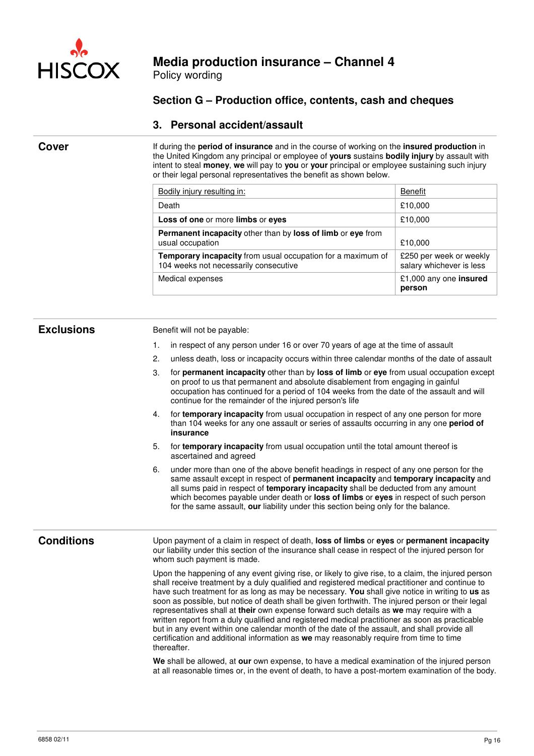

Policy wording

### **Section G – Production office, contents, cash and cheques**

### **3. Personal accident/assault**

**Cover** If during the **period of insurance** and in the course of working on the **insured production** in the United Kingdom any principal or employee of **yours** sustains **bodily injury** by assault with intent to steal **money**, **we** will pay to **you** or **your** principal or employee sustaining such injury or their legal personal representatives the benefit as shown below.

| Bodily injury resulting in:                                                                          | Benefit                                             |
|------------------------------------------------------------------------------------------------------|-----------------------------------------------------|
| Death                                                                                                | £10,000                                             |
| Loss of one or more limbs or eyes                                                                    | £10,000                                             |
| <b>Permanent incapacity other than by loss of limb or eye from</b><br>usual occupation               | £10,000                                             |
| Temporary incapacity from usual occupation for a maximum of<br>104 weeks not necessarily consecutive | £250 per week or weekly<br>salary whichever is less |
| Medical expenses                                                                                     | £1,000 any one insured<br>person                    |

**Exclusions Benefit will not be payable:** 

- 1. in respect of any person under 16 or over 70 years of age at the time of assault
- 2. unless death, loss or incapacity occurs within three calendar months of the date of assault
- 3. for **permanent incapacity** other than by **loss of limb** or **eye** from usual occupation except on proof to us that permanent and absolute disablement from engaging in gainful occupation has continued for a period of 104 weeks from the date of the assault and will continue for the remainder of the injured person's life
- 4. for **temporary incapacity** from usual occupation in respect of any one person for more than 104 weeks for any one assault or series of assaults occurring in any one **period of insurance**
- 5. for **temporary incapacity** from usual occupation until the total amount thereof is ascertained and agreed
- 6. under more than one of the above benefit headings in respect of any one person for the same assault except in respect of **permanent incapacity** and **temporary incapacity** and all sums paid in respect of **temporary incapacity** shall be deducted from any amount which becomes payable under death or **loss of limbs** or **eyes** in respect of such person for the same assault, **our** liability under this section being only for the balance.

**Conditions** Upon payment of a claim in respect of death, **loss of limbs** or **eyes** or **permanent incapacity** our liability under this section of the insurance shall cease in respect of the injured person for whom such payment is made.

> Upon the happening of any event giving rise, or likely to give rise, to a claim, the injured person shall receive treatment by a duly qualified and registered medical practitioner and continue to have such treatment for as long as may be necessary. **You** shall give notice in writing to **us** as soon as possible, but notice of death shall be given forthwith. The injured person or their legal representatives shall at **their** own expense forward such details as **we** may require with a written report from a duly qualified and registered medical practitioner as soon as practicable but in any event within one calendar month of the date of the assault, and shall provide all certification and additional information as **we** may reasonably require from time to time thereafter.

**We** shall be allowed, at **our** own expense, to have a medical examination of the injured person at all reasonable times or, in the event of death, to have a post-mortem examination of the body.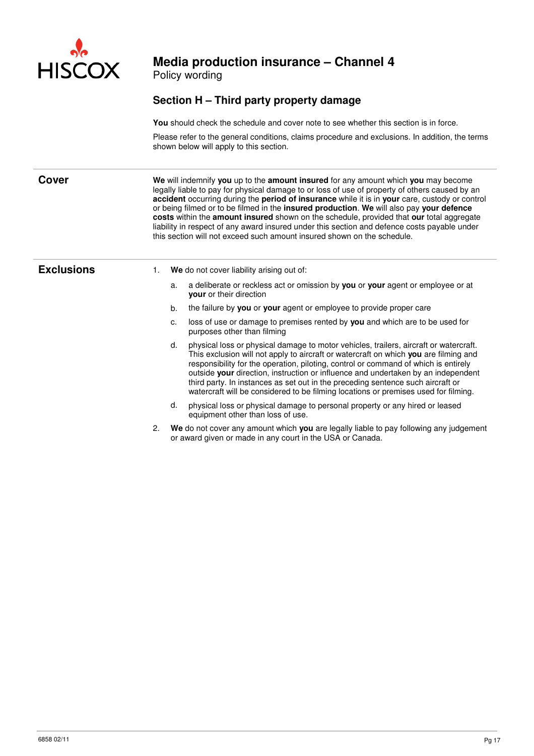

Policy wording

### **Section H – Third party property damage**

**You** should check the schedule and cover note to see whether this section is in force.

Please refer to the general conditions, claims procedure and exclusions. In addition, the terms shown below will apply to this section.

**Cover We** will indemnify you up to the **amount insured** for any amount which you may become legally liable to pay for physical damage to or loss of use of property of others caused by an **accident** occurring during the **period of insurance** while it is in **your** care, custody or control or being filmed or to be filmed in the **insured production**. **We** will also pay **your defence costs** within the **amount insured** shown on the schedule, provided that **our** total aggregate liability in respect of any award insured under this section and defence costs payable under this section will not exceed such amount insured shown on the schedule.

- **Exclusions** 1. **We** do not cover liability arising out of:
	- a. a deliberate or reckless act or omission by **you** or **your** agent or employee or at **your** or their direction
	- b. the failure by **you** or **your** agent or employee to provide proper care
	- c. loss of use or damage to premises rented by **you** and which are to be used for purposes other than filming
	- d. physical loss or physical damage to motor vehicles, trailers, aircraft or watercraft. This exclusion will not apply to aircraft or watercraft on which **you** are filming and responsibility for the operation, piloting, control or command of which is entirely outside **your** direction, instruction or influence and undertaken by an independent third party. In instances as set out in the preceding sentence such aircraft or watercraft will be considered to be filming locations or premises used for filming.
	- d. physical loss or physical damage to personal property or any hired or leased equipment other than loss of use.
	- 2. **We** do not cover any amount which **you** are legally liable to pay following any judgement or award given or made in any court in the USA or Canada.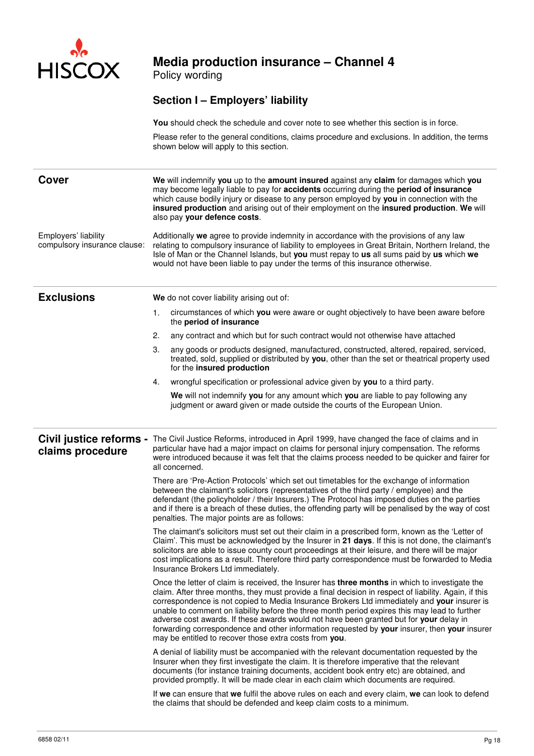

Policy wording

### **Section I – Employers' liability**

**You** should check the schedule and cover note to see whether this section is in force.

Please refer to the general conditions, claims procedure and exclusions. In addition, the terms shown below will apply to this section.

| <b>Cover</b>                                         | We will indemnify you up to the amount insured against any claim for damages which you<br>may become legally liable to pay for accidents occurring during the period of insurance<br>which cause bodily injury or disease to any person employed by you in connection with the<br>insured production and arising out of their employment on the insured production. We will<br>also pay your defence costs.                                                                                                                                                                                                                                                 |  |  |  |
|------------------------------------------------------|-------------------------------------------------------------------------------------------------------------------------------------------------------------------------------------------------------------------------------------------------------------------------------------------------------------------------------------------------------------------------------------------------------------------------------------------------------------------------------------------------------------------------------------------------------------------------------------------------------------------------------------------------------------|--|--|--|
| Employers' liability<br>compulsory insurance clause: | Additionally we agree to provide indemnity in accordance with the provisions of any law<br>relating to compulsory insurance of liability to employees in Great Britain, Northern Ireland, the<br>Isle of Man or the Channel Islands, but you must repay to us all sums paid by us which we<br>would not have been liable to pay under the terms of this insurance otherwise.                                                                                                                                                                                                                                                                                |  |  |  |
| <b>Exclusions</b>                                    | We do not cover liability arising out of:                                                                                                                                                                                                                                                                                                                                                                                                                                                                                                                                                                                                                   |  |  |  |
|                                                      | circumstances of which you were aware or ought objectively to have been aware before<br>1.<br>the period of insurance                                                                                                                                                                                                                                                                                                                                                                                                                                                                                                                                       |  |  |  |
|                                                      | any contract and which but for such contract would not otherwise have attached<br>2.                                                                                                                                                                                                                                                                                                                                                                                                                                                                                                                                                                        |  |  |  |
|                                                      | 3.<br>any goods or products designed, manufactured, constructed, altered, repaired, serviced,<br>treated, sold, supplied or distributed by you, other than the set or theatrical property used<br>for the insured production                                                                                                                                                                                                                                                                                                                                                                                                                                |  |  |  |
|                                                      | wrongful specification or professional advice given by you to a third party.<br>4.                                                                                                                                                                                                                                                                                                                                                                                                                                                                                                                                                                          |  |  |  |
|                                                      | We will not indemnify you for any amount which you are liable to pay following any<br>judgment or award given or made outside the courts of the European Union.                                                                                                                                                                                                                                                                                                                                                                                                                                                                                             |  |  |  |
| Civil justice reforms -<br>claims procedure          | The Civil Justice Reforms, introduced in April 1999, have changed the face of claims and in<br>particular have had a major impact on claims for personal injury compensation. The reforms<br>were introduced because it was felt that the claims process needed to be quicker and fairer for<br>all concerned.                                                                                                                                                                                                                                                                                                                                              |  |  |  |
|                                                      | There are 'Pre-Action Protocols' which set out timetables for the exchange of information<br>between the claimant's solicitors (representatives of the third party / employee) and the<br>defendant (the policyholder / their Insurers.) The Protocol has imposed duties on the parties<br>and if there is a breach of these duties, the offending party will be penalised by the way of cost<br>penalties. The major points are as follows:                                                                                                                                                                                                                |  |  |  |
|                                                      | The claimant's solicitors must set out their claim in a prescribed form, known as the 'Letter of<br>Claim'. This must be acknowledged by the Insurer in 21 days. If this is not done, the claimant's<br>solicitors are able to issue county court proceedings at their leisure, and there will be major<br>cost implications as a result. Therefore third party correspondence must be forwarded to Media<br>Insurance Brokers Ltd immediately.                                                                                                                                                                                                             |  |  |  |
|                                                      | Once the letter of claim is received, the Insurer has three months in which to investigate the<br>claim. After three months, they must provide a final decision in respect of liability. Again, if this<br>correspondence is not copied to Media Insurance Brokers Ltd immediately and your insurer is<br>unable to comment on liability before the three month period expires this may lead to further<br>adverse cost awards. If these awards would not have been granted but for your delay in<br>forwarding correspondence and other information requested by your insurer, then your insurer<br>may be entitled to recover those extra costs from you. |  |  |  |
|                                                      | A denial of liability must be accompanied with the relevant documentation requested by the<br>Insurer when they first investigate the claim. It is therefore imperative that the relevant<br>documents (for instance training documents, accident book entry etc) are obtained, and<br>provided promptly. It will be made clear in each claim which documents are required.                                                                                                                                                                                                                                                                                 |  |  |  |
|                                                      | If we can ensure that we fulfil the above rules on each and every claim, we can look to defend<br>the claims that should be defended and keep claim costs to a minimum.                                                                                                                                                                                                                                                                                                                                                                                                                                                                                     |  |  |  |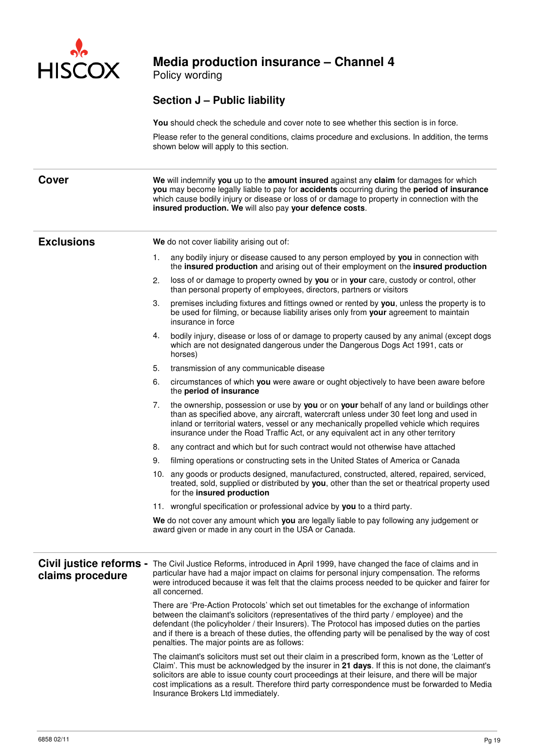

Policy wording

### **Section J – Public liability**

**You** should check the schedule and cover note to see whether this section is in force.

Please refer to the general conditions, claims procedure and exclusions. In addition, the terms shown below will apply to this section.

**Cover We** will indemnify **you** up to the **amount insured** against any **claim** for damages for which **you** may become legally liable to pay for **accidents** occurring during the **period of insurance** which cause bodily injury or disease or loss of or damage to property in connection with the **insured production. We** will also pay **your defence costs**.

**Exclusions We** do not cover liability arising out of:

- 1. any bodily injury or disease caused to any person employed by **you** in connection with the **insured production** and arising out of their employment on the **insured production**
- 2. loss of or damage to property owned by **you** or in **your** care, custody or control, other than personal property of employees, directors, partners or visitors
- 3. premises including fixtures and fittings owned or rented by **you**, unless the property is to be used for filming, or because liability arises only from **your** agreement to maintain insurance in force
- 4. bodily injury, disease or loss of or damage to property caused by any animal (except dogs which are not designated dangerous under the Dangerous Dogs Act 1991, cats or horses)
- 5. transmission of any communicable disease
- 6. circumstances of which **you** were aware or ought objectively to have been aware before the **period of insurance**
- 7. the ownership, possession or use by **you** or on **your** behalf of any land or buildings other than as specified above, any aircraft, watercraft unless under 30 feet long and used in inland or territorial waters, vessel or any mechanically propelled vehicle which requires insurance under the Road Traffic Act, or any equivalent act in any other territory
- 8. any contract and which but for such contract would not otherwise have attached
- 9. filming operations or constructing sets in the United States of America or Canada
- 10. any goods or products designed, manufactured, constructed, altered, repaired, serviced, treated, sold, supplied or distributed by **you**, other than the set or theatrical property used for the **insured production**
- 11. wrongful specification or professional advice by **you** to a third party.

 **We** do not cover any amount which **you** are legally liable to pay following any judgement or award given or made in any court in the USA or Canada.

### **Civil justice reforms claims procedure**  The Civil Justice Reforms, introduced in April 1999, have changed the face of claims and in particular have had a major impact on claims for personal injury compensation. The reforms were introduced because it was felt that the claims process needed to be quicker and fairer for all concerned.

There are 'Pre-Action Protocols' which set out timetables for the exchange of information between the claimant's solicitors (representatives of the third party / employee) and the defendant (the policyholder / their Insurers). The Protocol has imposed duties on the parties and if there is a breach of these duties, the offending party will be penalised by the way of cost penalties. The major points are as follows:

The claimant's solicitors must set out their claim in a prescribed form, known as the 'Letter of Claim'. This must be acknowledged by the insurer in **21 days**. If this is not done, the claimant's solicitors are able to issue county court proceedings at their leisure, and there will be major cost implications as a result. Therefore third party correspondence must be forwarded to Media Insurance Brokers Ltd immediately.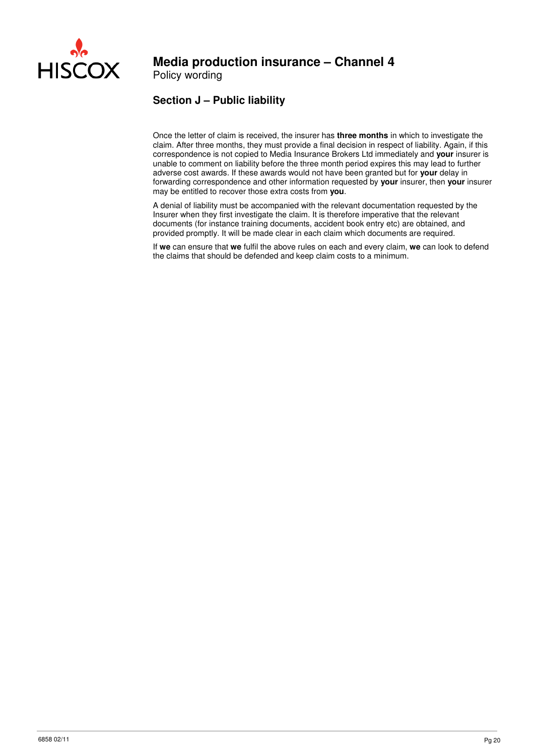

Policy wording

### **Section J – Public liability**

Once the letter of claim is received, the insurer has **three months** in which to investigate the claim. After three months, they must provide a final decision in respect of liability. Again, if this correspondence is not copied to Media Insurance Brokers Ltd immediately and **your** insurer is unable to comment on liability before the three month period expires this may lead to further adverse cost awards. If these awards would not have been granted but for **your** delay in forwarding correspondence and other information requested by **your** insurer, then **your** insurer may be entitled to recover those extra costs from **you**.

A denial of liability must be accompanied with the relevant documentation requested by the Insurer when they first investigate the claim. It is therefore imperative that the relevant documents (for instance training documents, accident book entry etc) are obtained, and provided promptly. It will be made clear in each claim which documents are required.

If **we** can ensure that **we** fulfil the above rules on each and every claim, **we** can look to defend the claims that should be defended and keep claim costs to a minimum.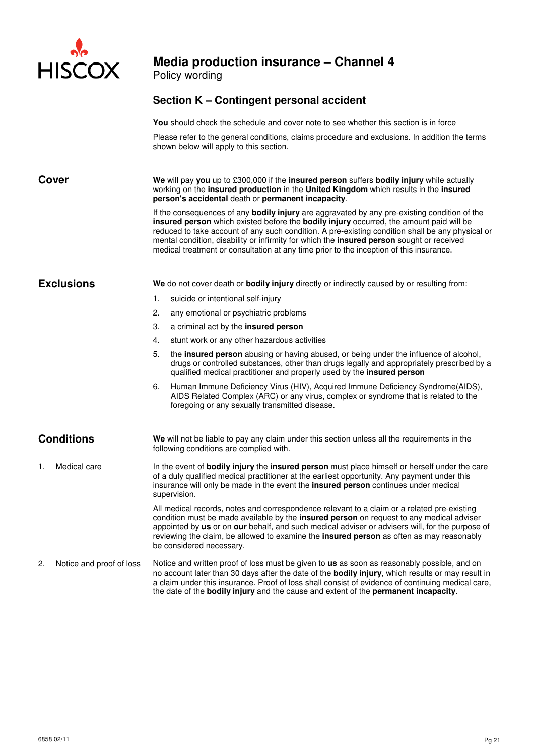

Policy wording

### **Section K – Contingent personal accident**

**You** should check the schedule and cover note to see whether this section is in force

Please refer to the general conditions, claims procedure and exclusions. In addition the terms shown below will apply to this section.

**Cover We** will pay **you** up to £300,000 if the **insured person** suffers **bodily injury** while actually working on the **insured production** in the **United Kingdom** which results in the **insured person's accidental** death or **permanent incapacity**.

> If the consequences of any **bodily injury** are aggravated by any pre-existing condition of the **insured person** which existed before the **bodily injury** occurred, the amount paid will be reduced to take account of any such condition. A pre-existing condition shall be any physical or mental condition, disability or infirmity for which the **insured person** sought or received medical treatment or consultation at any time prior to the inception of this insurance.

**Exclusions** We do not cover death or **bodily injury** directly or indirectly caused by or resulting from:

- 1. suicide or intentional self-injury
- 2. any emotional or psychiatric problems
- 3. a criminal act by the **insured person**
- 4. stunt work or any other hazardous activities
- 5. the **insured person** abusing or having abused, or being under the influence of alcohol, drugs or controlled substances, other than drugs legally and appropriately prescribed by a qualified medical practitioner and properly used by the **insured person**
- 6. Human Immune Deficiency Virus (HIV), Acquired Immune Deficiency Syndrome(AIDS), AIDS Related Complex (ARC) or any virus, complex or syndrome that is related to the foregoing or any sexually transmitted disease.

**Conditions We** will not be liable to pay any claim under this section unless all the requirements in the following conditions are complied with.

1. Medical care In the event of **bodily injury** the **insured person** must place himself or herself under the care of a duly qualified medical practitioner at the earliest opportunity. Any payment under this insurance will only be made in the event the **insured person** continues under medical supervision.

> All medical records, notes and correspondence relevant to a claim or a related pre-existing condition must be made available by the **insured person** on request to any medical adviser appointed by **us** or on **our** behalf, and such medical adviser or advisers will, for the purpose of reviewing the claim, be allowed to examine the **insured person** as often as may reasonably be considered necessary.

2. Notice and proof of loss Notice and written proof of loss must be given to **us** as soon as reasonably possible, and on no account later than 30 days after the date of the **bodily injury**, which results or may result in a claim under this insurance. Proof of loss shall consist of evidence of continuing medical care, the date of the **bodily injury** and the cause and extent of the **permanent incapacity**.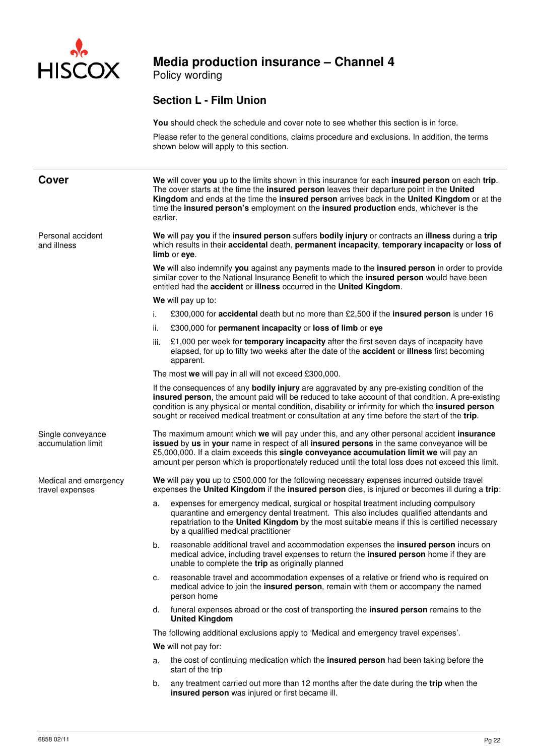

Policy wording

### **Section L - Film Union**

|                                          |          | <b>You</b> should check the schedule and cover note to see whether this section is in force.                                                                                                                                                                                                                                                                                                                      |  |  |  |  |  |  |
|------------------------------------------|----------|-------------------------------------------------------------------------------------------------------------------------------------------------------------------------------------------------------------------------------------------------------------------------------------------------------------------------------------------------------------------------------------------------------------------|--|--|--|--|--|--|
|                                          |          | Please refer to the general conditions, claims procedure and exclusions. In addition, the terms<br>shown below will apply to this section.                                                                                                                                                                                                                                                                        |  |  |  |  |  |  |
| <b>Cover</b>                             | earlier. | We will cover you up to the limits shown in this insurance for each insured person on each trip.<br>The cover starts at the time the insured person leaves their departure point in the United<br>Kingdom and ends at the time the insured person arrives back in the United Kingdom or at the<br>time the insured person's employment on the insured production ends, whichever is the                           |  |  |  |  |  |  |
| Personal accident<br>and illness         |          | We will pay you if the insured person suffers bodily injury or contracts an illness during a trip<br>which results in their accidental death, permanent incapacity, temporary incapacity or loss of<br>limb or eye.                                                                                                                                                                                               |  |  |  |  |  |  |
|                                          |          | We will also indemnify you against any payments made to the insured person in order to provide<br>similar cover to the National Insurance Benefit to which the insured person would have been<br>entitled had the accident or illness occurred in the United Kingdom.                                                                                                                                             |  |  |  |  |  |  |
|                                          |          | We will pay up to:                                                                                                                                                                                                                                                                                                                                                                                                |  |  |  |  |  |  |
|                                          | i.       | £300,000 for <b>accidental</b> death but no more than £2,500 if the <b>insured person</b> is under 16                                                                                                                                                                                                                                                                                                             |  |  |  |  |  |  |
|                                          | ii.      | £300,000 for permanent incapacity or loss of limb or eye                                                                                                                                                                                                                                                                                                                                                          |  |  |  |  |  |  |
|                                          | iii.     | £1,000 per week for temporary incapacity after the first seven days of incapacity have<br>elapsed, for up to fifty two weeks after the date of the <b>accident</b> or <b>illness</b> first becoming<br>apparent.                                                                                                                                                                                                  |  |  |  |  |  |  |
|                                          |          | The most we will pay in all will not exceed £300,000.                                                                                                                                                                                                                                                                                                                                                             |  |  |  |  |  |  |
|                                          |          | If the consequences of any <b>bodily injury</b> are aggravated by any pre-existing condition of the<br>insured person, the amount paid will be reduced to take account of that condition. A pre-existing<br>condition is any physical or mental condition, disability or infirmity for which the insured person<br>sought or received medical treatment or consultation at any time before the start of the trip. |  |  |  |  |  |  |
| Single conveyance<br>accumulation limit  |          | The maximum amount which we will pay under this, and any other personal accident insurance<br>issued by us in your name in respect of all insured persons in the same conveyance will be<br>£5,000,000. If a claim exceeds this single conveyance accumulation limit we will pay an<br>amount per person which is proportionately reduced until the total loss does not exceed this limit.                        |  |  |  |  |  |  |
| Medical and emergency<br>travel expenses |          | We will pay you up to £500,000 for the following necessary expenses incurred outside travel<br>expenses the United Kingdom if the insured person dies, is injured or becomes ill during a trip:                                                                                                                                                                                                                   |  |  |  |  |  |  |
|                                          | a.       | expenses for emergency medical, surgical or hospital treatment including compulsory<br>quarantine and emergency dental treatment. This also includes qualified attendants and<br>repatriation to the United Kingdom by the most suitable means if this is certified necessary<br>by a qualified medical practitioner                                                                                              |  |  |  |  |  |  |
|                                          | b.       | reasonable additional travel and accommodation expenses the insured person incurs on<br>medical advice, including travel expenses to return the insured person home if they are<br>unable to complete the trip as originally planned                                                                                                                                                                              |  |  |  |  |  |  |
|                                          | c.       | reasonable travel and accommodation expenses of a relative or friend who is required on<br>medical advice to join the insured person, remain with them or accompany the named<br>person home                                                                                                                                                                                                                      |  |  |  |  |  |  |
|                                          | d.       | funeral expenses abroad or the cost of transporting the insured person remains to the<br><b>United Kingdom</b>                                                                                                                                                                                                                                                                                                    |  |  |  |  |  |  |
|                                          |          | The following additional exclusions apply to 'Medical and emergency travel expenses'.                                                                                                                                                                                                                                                                                                                             |  |  |  |  |  |  |
|                                          |          | We will not pay for:                                                                                                                                                                                                                                                                                                                                                                                              |  |  |  |  |  |  |
|                                          | a.       | the cost of continuing medication which the insured person had been taking before the<br>start of the trip                                                                                                                                                                                                                                                                                                        |  |  |  |  |  |  |
|                                          | b.       | any treatment carried out more than 12 months after the date during the trip when the<br><b>insured person</b> was injured or first became ill.                                                                                                                                                                                                                                                                   |  |  |  |  |  |  |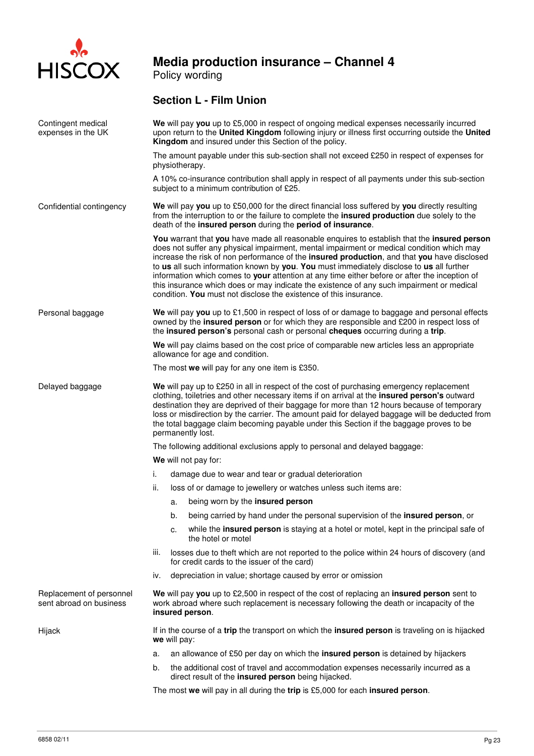

Policy wording

### **Section L - Film Union**

| Contingent medical<br>expenses in the UK            |                                                                                                                                                                                                                                                                                                                                                                                                                                                                                                          | We will pay you up to £5,000 in respect of ongoing medical expenses necessarily incurred<br>upon return to the United Kingdom following injury or illness first occurring outside the United<br>Kingdom and insured under this Section of the policy.                                                                                                                                                                                                                                                                                                                                                                                                  |  |  |  |  |  |
|-----------------------------------------------------|----------------------------------------------------------------------------------------------------------------------------------------------------------------------------------------------------------------------------------------------------------------------------------------------------------------------------------------------------------------------------------------------------------------------------------------------------------------------------------------------------------|--------------------------------------------------------------------------------------------------------------------------------------------------------------------------------------------------------------------------------------------------------------------------------------------------------------------------------------------------------------------------------------------------------------------------------------------------------------------------------------------------------------------------------------------------------------------------------------------------------------------------------------------------------|--|--|--|--|--|
|                                                     |                                                                                                                                                                                                                                                                                                                                                                                                                                                                                                          | The amount payable under this sub-section shall not exceed £250 in respect of expenses for<br>physiotherapy.                                                                                                                                                                                                                                                                                                                                                                                                                                                                                                                                           |  |  |  |  |  |
|                                                     |                                                                                                                                                                                                                                                                                                                                                                                                                                                                                                          | A 10% co-insurance contribution shall apply in respect of all payments under this sub-section<br>subject to a minimum contribution of £25.                                                                                                                                                                                                                                                                                                                                                                                                                                                                                                             |  |  |  |  |  |
| Confidential contingency                            |                                                                                                                                                                                                                                                                                                                                                                                                                                                                                                          | We will pay you up to £50,000 for the direct financial loss suffered by you directly resulting<br>from the interruption to or the failure to complete the insured production due solely to the<br>death of the insured person during the period of insurance.                                                                                                                                                                                                                                                                                                                                                                                          |  |  |  |  |  |
|                                                     |                                                                                                                                                                                                                                                                                                                                                                                                                                                                                                          | You warrant that you have made all reasonable enquires to establish that the insured person<br>does not suffer any physical impairment, mental impairment or medical condition which may<br>increase the risk of non performance of the insured production, and that you have disclosed<br>to us all such information known by you. You must immediately disclose to us all further<br>information which comes to your attention at any time either before or after the inception of<br>this insurance which does or may indicate the existence of any such impairment or medical<br>condition. You must not disclose the existence of this insurance. |  |  |  |  |  |
| Personal baggage                                    | We will pay you up to £1,500 in respect of loss of or damage to baggage and personal effects<br>owned by the insured person or for which they are responsible and £200 in respect loss of<br>the insured person's personal cash or personal cheques occurring during a trip.                                                                                                                                                                                                                             |                                                                                                                                                                                                                                                                                                                                                                                                                                                                                                                                                                                                                                                        |  |  |  |  |  |
|                                                     |                                                                                                                                                                                                                                                                                                                                                                                                                                                                                                          | We will pay claims based on the cost price of comparable new articles less an appropriate<br>allowance for age and condition.                                                                                                                                                                                                                                                                                                                                                                                                                                                                                                                          |  |  |  |  |  |
|                                                     | The most we will pay for any one item is £350.                                                                                                                                                                                                                                                                                                                                                                                                                                                           |                                                                                                                                                                                                                                                                                                                                                                                                                                                                                                                                                                                                                                                        |  |  |  |  |  |
| Delayed baggage                                     | We will pay up to £250 in all in respect of the cost of purchasing emergency replacement<br>clothing, toiletries and other necessary items if on arrival at the insured person's outward<br>destination they are deprived of their baggage for more than 12 hours because of temporary<br>loss or misdirection by the carrier. The amount paid for delayed baggage will be deducted from<br>the total baggage claim becoming payable under this Section if the baggage proves to be<br>permanently lost. |                                                                                                                                                                                                                                                                                                                                                                                                                                                                                                                                                                                                                                                        |  |  |  |  |  |
|                                                     |                                                                                                                                                                                                                                                                                                                                                                                                                                                                                                          | The following additional exclusions apply to personal and delayed baggage:                                                                                                                                                                                                                                                                                                                                                                                                                                                                                                                                                                             |  |  |  |  |  |
|                                                     |                                                                                                                                                                                                                                                                                                                                                                                                                                                                                                          | We will not pay for:                                                                                                                                                                                                                                                                                                                                                                                                                                                                                                                                                                                                                                   |  |  |  |  |  |
|                                                     | i.                                                                                                                                                                                                                                                                                                                                                                                                                                                                                                       | damage due to wear and tear or gradual deterioration                                                                                                                                                                                                                                                                                                                                                                                                                                                                                                                                                                                                   |  |  |  |  |  |
|                                                     | ii.                                                                                                                                                                                                                                                                                                                                                                                                                                                                                                      | loss of or damage to jewellery or watches unless such items are:                                                                                                                                                                                                                                                                                                                                                                                                                                                                                                                                                                                       |  |  |  |  |  |
|                                                     |                                                                                                                                                                                                                                                                                                                                                                                                                                                                                                          | being worn by the insured person<br>a.                                                                                                                                                                                                                                                                                                                                                                                                                                                                                                                                                                                                                 |  |  |  |  |  |
|                                                     |                                                                                                                                                                                                                                                                                                                                                                                                                                                                                                          | being carried by hand under the personal supervision of the insured person, or<br>b.                                                                                                                                                                                                                                                                                                                                                                                                                                                                                                                                                                   |  |  |  |  |  |
|                                                     |                                                                                                                                                                                                                                                                                                                                                                                                                                                                                                          | while the insured person is staying at a hotel or motel, kept in the principal safe of<br>c.<br>the hotel or motel                                                                                                                                                                                                                                                                                                                                                                                                                                                                                                                                     |  |  |  |  |  |
|                                                     | iii.                                                                                                                                                                                                                                                                                                                                                                                                                                                                                                     | losses due to theft which are not reported to the police within 24 hours of discovery (and<br>for credit cards to the issuer of the card)                                                                                                                                                                                                                                                                                                                                                                                                                                                                                                              |  |  |  |  |  |
|                                                     | iv.                                                                                                                                                                                                                                                                                                                                                                                                                                                                                                      | depreciation in value; shortage caused by error or omission                                                                                                                                                                                                                                                                                                                                                                                                                                                                                                                                                                                            |  |  |  |  |  |
| Replacement of personnel<br>sent abroad on business | We will pay you up to £2,500 in respect of the cost of replacing an insured person sent to<br>work abroad where such replacement is necessary following the death or incapacity of the<br>insured person.                                                                                                                                                                                                                                                                                                |                                                                                                                                                                                                                                                                                                                                                                                                                                                                                                                                                                                                                                                        |  |  |  |  |  |
| Hijack                                              | If in the course of a trip the transport on which the insured person is traveling on is hijacked<br>we will pay:                                                                                                                                                                                                                                                                                                                                                                                         |                                                                                                                                                                                                                                                                                                                                                                                                                                                                                                                                                                                                                                                        |  |  |  |  |  |
|                                                     | a.                                                                                                                                                                                                                                                                                                                                                                                                                                                                                                       | an allowance of £50 per day on which the insured person is detained by hijackers                                                                                                                                                                                                                                                                                                                                                                                                                                                                                                                                                                       |  |  |  |  |  |
|                                                     | b.                                                                                                                                                                                                                                                                                                                                                                                                                                                                                                       | the additional cost of travel and accommodation expenses necessarily incurred as a<br>direct result of the insured person being hijacked.                                                                                                                                                                                                                                                                                                                                                                                                                                                                                                              |  |  |  |  |  |
|                                                     |                                                                                                                                                                                                                                                                                                                                                                                                                                                                                                          | The most we will pay in all during the trip is £5,000 for each insured person.                                                                                                                                                                                                                                                                                                                                                                                                                                                                                                                                                                         |  |  |  |  |  |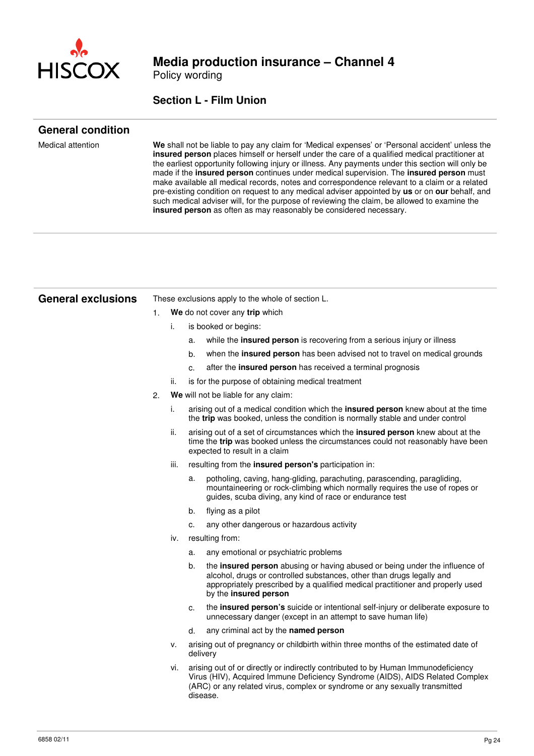

Policy wording

### **Section L - Film Union**

### **General condition**

Medical attention **We** shall not be liable to pay any claim for 'Medical expenses' or 'Personal accident' unless the **insured person** places himself or herself under the care of a qualified medical practitioner at the earliest opportunity following injury or illness. Any payments under this section will only be made if the **insured person** continues under medical supervision. The **insured person** must make available all medical records, notes and correspondence relevant to a claim or a related pre-existing condition on request to any medical adviser appointed by **us** or on **our** behalf, and such medical adviser will, for the purpose of reviewing the claim, be allowed to examine the **insured person** as often as may reasonably be considered necessary.

| <b>General exclusions</b> | These exclusions apply to the whole of section L. |                                |          |                                                                                                                                                                                                                                                                 |
|---------------------------|---------------------------------------------------|--------------------------------|----------|-----------------------------------------------------------------------------------------------------------------------------------------------------------------------------------------------------------------------------------------------------------------|
|                           | 1.                                                | We do not cover any trip which |          |                                                                                                                                                                                                                                                                 |
|                           |                                                   | i.                             |          | is booked or begins:                                                                                                                                                                                                                                            |
|                           |                                                   |                                | a.       | while the <b>insured person</b> is recovering from a serious injury or illness                                                                                                                                                                                  |
|                           |                                                   |                                | b.       | when the insured person has been advised not to travel on medical grounds                                                                                                                                                                                       |
|                           |                                                   |                                | c.       | after the insured person has received a terminal prognosis                                                                                                                                                                                                      |
|                           |                                                   | ii.                            |          | is for the purpose of obtaining medical treatment                                                                                                                                                                                                               |
|                           | 2.                                                |                                |          | We will not be liable for any claim:                                                                                                                                                                                                                            |
|                           |                                                   | i.                             |          | arising out of a medical condition which the <b>insured person</b> knew about at the time<br>the trip was booked, unless the condition is normally stable and under control                                                                                     |
|                           |                                                   | ii.                            |          | arising out of a set of circumstances which the insured person knew about at the<br>time the trip was booked unless the circumstances could not reasonably have been<br>expected to result in a claim                                                           |
|                           |                                                   | iii.                           |          | resulting from the <b>insured person's</b> participation in:                                                                                                                                                                                                    |
|                           |                                                   |                                | a.       | potholing, caving, hang-gliding, parachuting, parascending, paragliding,<br>mountaineering or rock-climbing which normally requires the use of ropes or<br>guides, scuba diving, any kind of race or endurance test                                             |
|                           |                                                   |                                | b.       | flying as a pilot                                                                                                                                                                                                                                               |
|                           |                                                   |                                | c.       | any other dangerous or hazardous activity                                                                                                                                                                                                                       |
|                           |                                                   | iv.                            |          | resulting from:                                                                                                                                                                                                                                                 |
|                           |                                                   |                                | a.       | any emotional or psychiatric problems                                                                                                                                                                                                                           |
|                           |                                                   |                                | b.       | the insured person abusing or having abused or being under the influence of<br>alcohol, drugs or controlled substances, other than drugs legally and<br>appropriately prescribed by a qualified medical practitioner and properly used<br>by the insured person |
|                           |                                                   |                                | c.       | the insured person's suicide or intentional self-injury or deliberate exposure to<br>unnecessary danger (except in an attempt to save human life)                                                                                                               |
|                           |                                                   |                                | d.       | any criminal act by the named person                                                                                                                                                                                                                            |
|                           |                                                   | ۷.                             | delivery | arising out of pregnancy or childbirth within three months of the estimated date of                                                                                                                                                                             |
|                           |                                                   | vi.                            |          | arising out of or directly or indirectly contributed to by Human Immunodeficiency<br>Virus (HIV), Acquired Immune Deficiency Syndrome (AIDS), AIDS Related Complex<br>(ARC) or any related virus, complex or syndrome or any sexually transmitted<br>disease.   |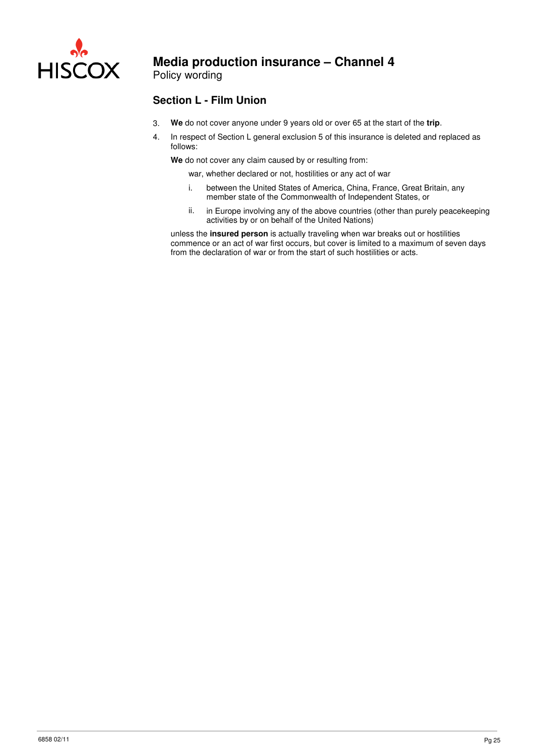

Policy wording

### **Section L - Film Union**

- 3. **We** do not cover anyone under 9 years old or over 65 at the start of the **trip**.
- 4. In respect of Section L general exclusion 5 of this insurance is deleted and replaced as follows:

**We** do not cover any claim caused by or resulting from:

war, whether declared or not, hostilities or any act of war

- i. between the United States of America, China, France, Great Britain, any member state of the Commonwealth of Independent States, or
- ii. in Europe involving any of the above countries (other than purely peacekeeping activities by or on behalf of the United Nations)

unless the **insured person** is actually traveling when war breaks out or hostilities commence or an act of war first occurs, but cover is limited to a maximum of seven days from the declaration of war or from the start of such hostilities or acts.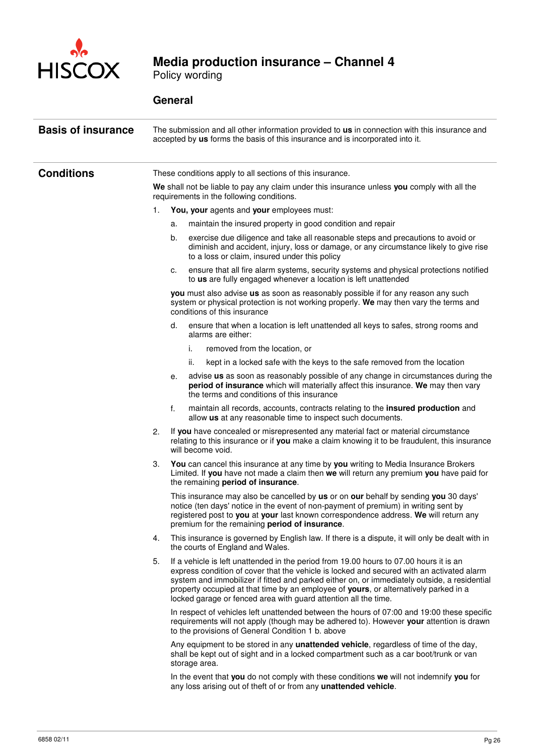

Policy wording

| <b>Basis of insurance</b> | The submission and all other information provided to us in connection with this insurance and<br>accepted by us forms the basis of this insurance and is incorporated into it. |    |                                                                                                                                                                                                                                                                                                                                                                                                                                                |  |  |  |  |  |
|---------------------------|--------------------------------------------------------------------------------------------------------------------------------------------------------------------------------|----|------------------------------------------------------------------------------------------------------------------------------------------------------------------------------------------------------------------------------------------------------------------------------------------------------------------------------------------------------------------------------------------------------------------------------------------------|--|--|--|--|--|
| <b>Conditions</b>         | These conditions apply to all sections of this insurance.                                                                                                                      |    |                                                                                                                                                                                                                                                                                                                                                                                                                                                |  |  |  |  |  |
|                           |                                                                                                                                                                                |    | We shall not be liable to pay any claim under this insurance unless you comply with all the<br>requirements in the following conditions.                                                                                                                                                                                                                                                                                                       |  |  |  |  |  |
|                           | 1.                                                                                                                                                                             |    | You, your agents and your employees must:                                                                                                                                                                                                                                                                                                                                                                                                      |  |  |  |  |  |
|                           |                                                                                                                                                                                | a. | maintain the insured property in good condition and repair                                                                                                                                                                                                                                                                                                                                                                                     |  |  |  |  |  |
|                           |                                                                                                                                                                                | b. | exercise due diligence and take all reasonable steps and precautions to avoid or<br>diminish and accident, injury, loss or damage, or any circumstance likely to give rise<br>to a loss or claim, insured under this policy                                                                                                                                                                                                                    |  |  |  |  |  |
|                           |                                                                                                                                                                                | c. | ensure that all fire alarm systems, security systems and physical protections notified<br>to us are fully engaged whenever a location is left unattended                                                                                                                                                                                                                                                                                       |  |  |  |  |  |
|                           |                                                                                                                                                                                |    | you must also advise us as soon as reasonably possible if for any reason any such<br>system or physical protection is not working properly. We may then vary the terms and<br>conditions of this insurance                                                                                                                                                                                                                                     |  |  |  |  |  |
|                           |                                                                                                                                                                                | d. | ensure that when a location is left unattended all keys to safes, strong rooms and<br>alarms are either:                                                                                                                                                                                                                                                                                                                                       |  |  |  |  |  |
|                           |                                                                                                                                                                                |    | i.<br>removed from the location, or                                                                                                                                                                                                                                                                                                                                                                                                            |  |  |  |  |  |
|                           |                                                                                                                                                                                |    | kept in a locked safe with the keys to the safe removed from the location<br>ii.                                                                                                                                                                                                                                                                                                                                                               |  |  |  |  |  |
|                           |                                                                                                                                                                                | е. | advise us as soon as reasonably possible of any change in circumstances during the<br>period of insurance which will materially affect this insurance. We may then vary<br>the terms and conditions of this insurance                                                                                                                                                                                                                          |  |  |  |  |  |
|                           |                                                                                                                                                                                | f. | maintain all records, accounts, contracts relating to the insured production and<br>allow us at any reasonable time to inspect such documents.                                                                                                                                                                                                                                                                                                 |  |  |  |  |  |
|                           | 2.                                                                                                                                                                             |    | If you have concealed or misrepresented any material fact or material circumstance<br>relating to this insurance or if you make a claim knowing it to be fraudulent, this insurance<br>will become void.                                                                                                                                                                                                                                       |  |  |  |  |  |
|                           | З.                                                                                                                                                                             |    | You can cancel this insurance at any time by you writing to Media Insurance Brokers<br>Limited. If you have not made a claim then we will return any premium you have paid for<br>the remaining period of insurance.                                                                                                                                                                                                                           |  |  |  |  |  |
|                           |                                                                                                                                                                                |    | This insurance may also be cancelled by us or on our behalf by sending you 30 days'<br>notice (ten days' notice in the event of non-payment of premium) in writing sent by<br>registered post to you at your last known correspondence address. We will return any<br>premium for the remaining period of insurance.                                                                                                                           |  |  |  |  |  |
|                           | 4.                                                                                                                                                                             |    | This insurance is governed by English law. If there is a dispute, it will only be dealt with in<br>the courts of England and Wales.                                                                                                                                                                                                                                                                                                            |  |  |  |  |  |
|                           | 5.                                                                                                                                                                             |    | If a vehicle is left unattended in the period from 19.00 hours to 07.00 hours it is an<br>express condition of cover that the vehicle is locked and secured with an activated alarm<br>system and immobilizer if fitted and parked either on, or immediately outside, a residential<br>property occupied at that time by an employee of yours, or alternatively parked in a<br>locked garage or fenced area with guard attention all the time. |  |  |  |  |  |
|                           |                                                                                                                                                                                |    | In respect of vehicles left unattended between the hours of 07:00 and 19:00 these specific<br>requirements will not apply (though may be adhered to). However your attention is drawn<br>to the provisions of General Condition 1 b. above                                                                                                                                                                                                     |  |  |  |  |  |
|                           |                                                                                                                                                                                |    | Any equipment to be stored in any unattended vehicle, regardless of time of the day,<br>shall be kept out of sight and in a locked compartment such as a car boot/trunk or van<br>storage area.                                                                                                                                                                                                                                                |  |  |  |  |  |
|                           |                                                                                                                                                                                |    | In the event that you do not comply with these conditions we will not indemnify you for<br>any loss arising out of theft of or from any unattended vehicle.                                                                                                                                                                                                                                                                                    |  |  |  |  |  |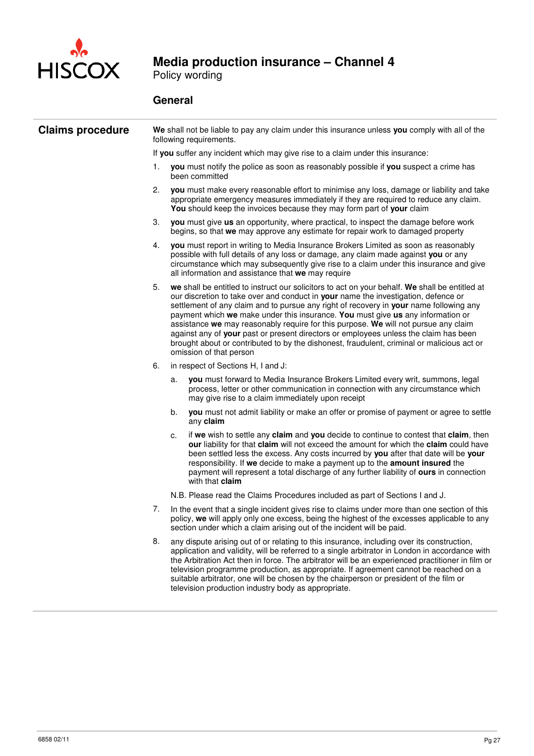

Policy wording

| <b>Claims procedure</b> | We shall not be liable to pay any claim under this insurance unless you comply with all of the<br>following requirements. |                                                                                                                                                                                                                                                                                                                                                                                                                                                                                                                                                                                                                                                                           |  |  |  |  |
|-------------------------|---------------------------------------------------------------------------------------------------------------------------|---------------------------------------------------------------------------------------------------------------------------------------------------------------------------------------------------------------------------------------------------------------------------------------------------------------------------------------------------------------------------------------------------------------------------------------------------------------------------------------------------------------------------------------------------------------------------------------------------------------------------------------------------------------------------|--|--|--|--|
|                         |                                                                                                                           | If you suffer any incident which may give rise to a claim under this insurance:                                                                                                                                                                                                                                                                                                                                                                                                                                                                                                                                                                                           |  |  |  |  |
|                         | 1.                                                                                                                        | you must notify the police as soon as reasonably possible if you suspect a crime has<br>been committed                                                                                                                                                                                                                                                                                                                                                                                                                                                                                                                                                                    |  |  |  |  |
|                         | 2.                                                                                                                        | you must make every reasonable effort to minimise any loss, damage or liability and take<br>appropriate emergency measures immediately if they are required to reduce any claim.<br>You should keep the invoices because they may form part of your claim                                                                                                                                                                                                                                                                                                                                                                                                                 |  |  |  |  |
|                         | 3.                                                                                                                        | you must give us an opportunity, where practical, to inspect the damage before work<br>begins, so that we may approve any estimate for repair work to damaged property                                                                                                                                                                                                                                                                                                                                                                                                                                                                                                    |  |  |  |  |
|                         | 4.                                                                                                                        | you must report in writing to Media Insurance Brokers Limited as soon as reasonably<br>possible with full details of any loss or damage, any claim made against you or any<br>circumstance which may subsequently give rise to a claim under this insurance and give<br>all information and assistance that we may require                                                                                                                                                                                                                                                                                                                                                |  |  |  |  |
|                         | 5.                                                                                                                        | we shall be entitled to instruct our solicitors to act on your behalf. We shall be entitled at<br>our discretion to take over and conduct in your name the investigation, defence or<br>settlement of any claim and to pursue any right of recovery in your name following any<br>payment which we make under this insurance. You must give us any information or<br>assistance we may reasonably require for this purpose. We will not pursue any claim<br>against any of your past or present directors or employees unless the claim has been<br>brought about or contributed to by the dishonest, fraudulent, criminal or malicious act or<br>omission of that person |  |  |  |  |
|                         | 6.                                                                                                                        | in respect of Sections H, I and J:                                                                                                                                                                                                                                                                                                                                                                                                                                                                                                                                                                                                                                        |  |  |  |  |
|                         |                                                                                                                           | you must forward to Media Insurance Brokers Limited every writ, summons, legal<br>a.<br>process, letter or other communication in connection with any circumstance which<br>may give rise to a claim immediately upon receipt                                                                                                                                                                                                                                                                                                                                                                                                                                             |  |  |  |  |
|                         |                                                                                                                           | you must not admit liability or make an offer or promise of payment or agree to settle<br>b.<br>any claim                                                                                                                                                                                                                                                                                                                                                                                                                                                                                                                                                                 |  |  |  |  |
|                         |                                                                                                                           | if we wish to settle any claim and you decide to continue to contest that claim, then<br>c.<br>our liability for that claim will not exceed the amount for which the claim could have<br>been settled less the excess. Any costs incurred by you after that date will be your<br>responsibility. If we decide to make a payment up to the amount insured the<br>payment will represent a total discharge of any further liability of ours in connection<br>with that <b>claim</b>                                                                                                                                                                                         |  |  |  |  |
|                         |                                                                                                                           | N.B. Please read the Claims Procedures included as part of Sections I and J.                                                                                                                                                                                                                                                                                                                                                                                                                                                                                                                                                                                              |  |  |  |  |
|                         | 7.                                                                                                                        | In the event that a single incident gives rise to claims under more than one section of this<br>policy, we will apply only one excess, being the highest of the excesses applicable to any<br>section under which a claim arising out of the incident will be paid.                                                                                                                                                                                                                                                                                                                                                                                                       |  |  |  |  |
|                         | 8.                                                                                                                        | any dispute arising out of or relating to this insurance, including over its construction,<br>application and validity, will be referred to a single arbitrator in London in accordance with<br>the Arbitration Act then in force. The arbitrator will be an experienced practitioner in film or<br>television programme production, as appropriate. If agreement cannot be reached on a<br>suitable arbitrator, one will be chosen by the chairperson or president of the film or<br>television production industry body as appropriate.                                                                                                                                 |  |  |  |  |
|                         |                                                                                                                           |                                                                                                                                                                                                                                                                                                                                                                                                                                                                                                                                                                                                                                                                           |  |  |  |  |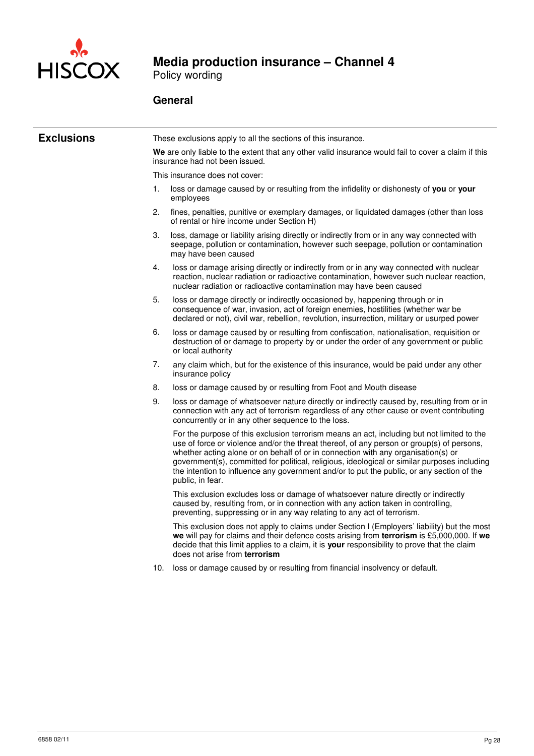

Policy wording

| <b>Exclusions</b> |    | These exclusions apply to all the sections of this insurance.                                                                                                                                                                                                                                                                                                                                                                                                                                 |  |  |  |  |  |  |
|-------------------|----|-----------------------------------------------------------------------------------------------------------------------------------------------------------------------------------------------------------------------------------------------------------------------------------------------------------------------------------------------------------------------------------------------------------------------------------------------------------------------------------------------|--|--|--|--|--|--|
|                   |    | We are only liable to the extent that any other valid insurance would fail to cover a claim if this<br>insurance had not been issued.                                                                                                                                                                                                                                                                                                                                                         |  |  |  |  |  |  |
|                   |    | This insurance does not cover:                                                                                                                                                                                                                                                                                                                                                                                                                                                                |  |  |  |  |  |  |
|                   | 1. | loss or damage caused by or resulting from the infidelity or dishonesty of you or your<br>employees                                                                                                                                                                                                                                                                                                                                                                                           |  |  |  |  |  |  |
|                   | 2. | fines, penalties, punitive or exemplary damages, or liquidated damages (other than loss<br>of rental or hire income under Section H)                                                                                                                                                                                                                                                                                                                                                          |  |  |  |  |  |  |
|                   | 3. | loss, damage or liability arising directly or indirectly from or in any way connected with<br>seepage, pollution or contamination, however such seepage, pollution or contamination<br>may have been caused                                                                                                                                                                                                                                                                                   |  |  |  |  |  |  |
|                   | 4. | loss or damage arising directly or indirectly from or in any way connected with nuclear<br>reaction, nuclear radiation or radioactive contamination, however such nuclear reaction,<br>nuclear radiation or radioactive contamination may have been caused                                                                                                                                                                                                                                    |  |  |  |  |  |  |
|                   | 5. | loss or damage directly or indirectly occasioned by, happening through or in<br>consequence of war, invasion, act of foreign enemies, hostilities (whether war be<br>declared or not), civil war, rebellion, revolution, insurrection, military or usurped power                                                                                                                                                                                                                              |  |  |  |  |  |  |
|                   | 6. | loss or damage caused by or resulting from confiscation, nationalisation, requisition or<br>destruction of or damage to property by or under the order of any government or public<br>or local authority                                                                                                                                                                                                                                                                                      |  |  |  |  |  |  |
|                   | 7. | any claim which, but for the existence of this insurance, would be paid under any other<br>insurance policy                                                                                                                                                                                                                                                                                                                                                                                   |  |  |  |  |  |  |
|                   | 8. | loss or damage caused by or resulting from Foot and Mouth disease                                                                                                                                                                                                                                                                                                                                                                                                                             |  |  |  |  |  |  |
|                   | 9. | loss or damage of whatsoever nature directly or indirectly caused by, resulting from or in<br>connection with any act of terrorism regardless of any other cause or event contributing<br>concurrently or in any other sequence to the loss.                                                                                                                                                                                                                                                  |  |  |  |  |  |  |
|                   |    | For the purpose of this exclusion terrorism means an act, including but not limited to the<br>use of force or violence and/or the threat thereof, of any person or group(s) of persons,<br>whether acting alone or on behalf of or in connection with any organisation(s) or<br>government(s), committed for political, religious, ideological or similar purposes including<br>the intention to influence any government and/or to put the public, or any section of the<br>public, in fear. |  |  |  |  |  |  |
|                   |    | This exclusion excludes loss or damage of whatsoever nature directly or indirectly<br>caused by, resulting from, or in connection with any action taken in controlling,<br>preventing, suppressing or in any way relating to any act of terrorism.                                                                                                                                                                                                                                            |  |  |  |  |  |  |
|                   |    | This exclusion does not apply to claims under Section I (Employers' liability) but the most<br>we will pay for claims and their defence costs arising from terrorism is £5,000,000. If we<br>decide that this limit applies to a claim, it is your responsibility to prove that the claim<br>does not arise from terrorism                                                                                                                                                                    |  |  |  |  |  |  |
|                   |    | 10. loss or damage caused by or resulting from financial insolvency or default.                                                                                                                                                                                                                                                                                                                                                                                                               |  |  |  |  |  |  |
|                   |    |                                                                                                                                                                                                                                                                                                                                                                                                                                                                                               |  |  |  |  |  |  |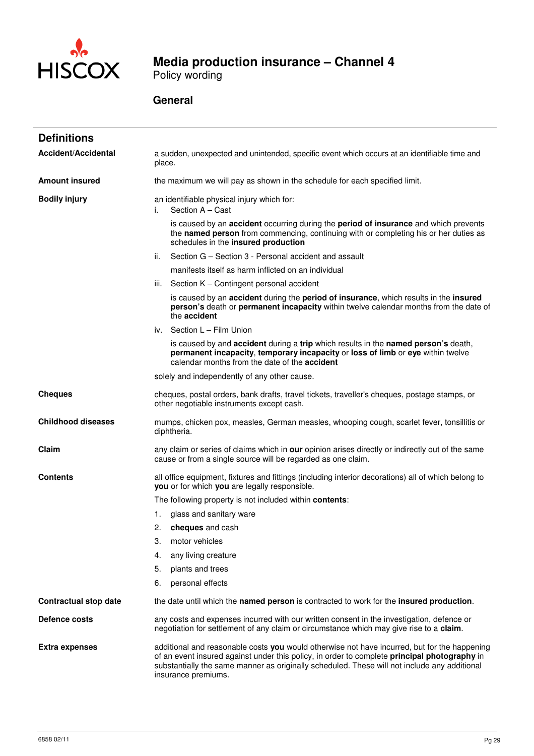

Policy wording

| <b>Definitions</b>           |                                                                                                                                                                                                                                                                                                                     |  |  |
|------------------------------|---------------------------------------------------------------------------------------------------------------------------------------------------------------------------------------------------------------------------------------------------------------------------------------------------------------------|--|--|
| <b>Accident/Accidental</b>   | a sudden, unexpected and unintended, specific event which occurs at an identifiable time and<br>place.                                                                                                                                                                                                              |  |  |
| <b>Amount insured</b>        | the maximum we will pay as shown in the schedule for each specified limit.                                                                                                                                                                                                                                          |  |  |
| <b>Bodily injury</b>         | an identifiable physical injury which for:<br>Section A - Cast<br>i.                                                                                                                                                                                                                                                |  |  |
|                              | is caused by an accident occurring during the period of insurance and which prevents<br>the named person from commencing, continuing with or completing his or her duties as<br>schedules in the insured production                                                                                                 |  |  |
|                              | Section G - Section 3 - Personal accident and assault<br>ii.                                                                                                                                                                                                                                                        |  |  |
|                              | manifests itself as harm inflicted on an individual                                                                                                                                                                                                                                                                 |  |  |
|                              | iii. Section K - Contingent personal accident                                                                                                                                                                                                                                                                       |  |  |
|                              | is caused by an accident during the period of insurance, which results in the insured<br>person's death or permanent incapacity within twelve calendar months from the date of<br>the accident                                                                                                                      |  |  |
|                              | iv. Section L - Film Union                                                                                                                                                                                                                                                                                          |  |  |
|                              | is caused by and accident during a trip which results in the named person's death,<br>permanent incapacity, temporary incapacity or loss of limb or eye within twelve<br>calendar months from the date of the <b>accident</b>                                                                                       |  |  |
|                              | solely and independently of any other cause.                                                                                                                                                                                                                                                                        |  |  |
| <b>Cheques</b>               | cheques, postal orders, bank drafts, travel tickets, traveller's cheques, postage stamps, or<br>other negotiable instruments except cash.                                                                                                                                                                           |  |  |
| <b>Childhood diseases</b>    | mumps, chicken pox, measles, German measles, whooping cough, scarlet fever, tonsillitis or<br>diphtheria.                                                                                                                                                                                                           |  |  |
| Claim                        | any claim or series of claims which in our opinion arises directly or indirectly out of the same<br>cause or from a single source will be regarded as one claim.                                                                                                                                                    |  |  |
| <b>Contents</b>              | all office equipment, fixtures and fittings (including interior decorations) all of which belong to<br>you or for which you are legally responsible.                                                                                                                                                                |  |  |
|                              | The following property is not included within contents:                                                                                                                                                                                                                                                             |  |  |
|                              | glass and sanitary ware<br>1.                                                                                                                                                                                                                                                                                       |  |  |
|                              | 2.<br>cheques and cash                                                                                                                                                                                                                                                                                              |  |  |
|                              | motor vehicles<br>3.                                                                                                                                                                                                                                                                                                |  |  |
|                              | 4.<br>any living creature                                                                                                                                                                                                                                                                                           |  |  |
|                              | 5.<br>plants and trees                                                                                                                                                                                                                                                                                              |  |  |
|                              | 6.<br>personal effects                                                                                                                                                                                                                                                                                              |  |  |
| <b>Contractual stop date</b> | the date until which the named person is contracted to work for the insured production.                                                                                                                                                                                                                             |  |  |
| Defence costs                | any costs and expenses incurred with our written consent in the investigation, defence or<br>negotiation for settlement of any claim or circumstance which may give rise to a claim.                                                                                                                                |  |  |
| <b>Extra expenses</b>        | additional and reasonable costs you would otherwise not have incurred, but for the happening<br>of an event insured against under this policy, in order to complete principal photography in<br>substantially the same manner as originally scheduled. These will not include any additional<br>insurance premiums. |  |  |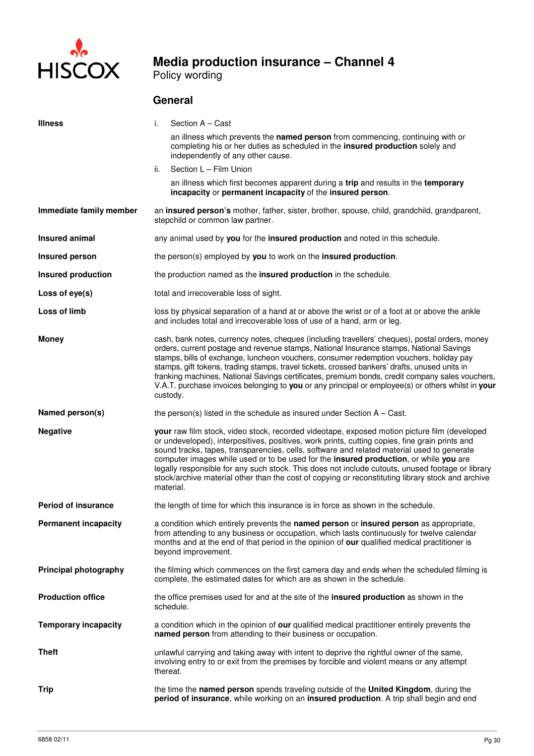

Policy wording

| <b>Illness</b>               | i.        | Section A - Cast                                                                                                                                                                                                                                                                                                                                                                                                                                                                                                                                                                                            |  |  |  |
|------------------------------|-----------|-------------------------------------------------------------------------------------------------------------------------------------------------------------------------------------------------------------------------------------------------------------------------------------------------------------------------------------------------------------------------------------------------------------------------------------------------------------------------------------------------------------------------------------------------------------------------------------------------------------|--|--|--|
|                              |           | an illness which prevents the named person from commencing, continuing with or<br>completing his or her duties as scheduled in the insured production solely and<br>independently of any other cause.                                                                                                                                                                                                                                                                                                                                                                                                       |  |  |  |
|                              | ii.       | Section L - Film Union                                                                                                                                                                                                                                                                                                                                                                                                                                                                                                                                                                                      |  |  |  |
|                              |           | an illness which first becomes apparent during a trip and results in the temporary<br>incapacity or permanent incapacity of the insured person.                                                                                                                                                                                                                                                                                                                                                                                                                                                             |  |  |  |
| Immediate family member      |           | an insured person's mother, father, sister, brother, spouse, child, grandchild, grandparent,<br>stepchild or common law partner.                                                                                                                                                                                                                                                                                                                                                                                                                                                                            |  |  |  |
| Insured animal               |           | any animal used by you for the insured production and noted in this schedule.                                                                                                                                                                                                                                                                                                                                                                                                                                                                                                                               |  |  |  |
| Insured person               |           | the person(s) employed by you to work on the insured production.                                                                                                                                                                                                                                                                                                                                                                                                                                                                                                                                            |  |  |  |
| <b>Insured production</b>    |           | the production named as the insured production in the schedule.                                                                                                                                                                                                                                                                                                                                                                                                                                                                                                                                             |  |  |  |
| Loss of eye(s)               |           | total and irrecoverable loss of sight.                                                                                                                                                                                                                                                                                                                                                                                                                                                                                                                                                                      |  |  |  |
| Loss of limb                 |           | loss by physical separation of a hand at or above the wrist or of a foot at or above the ankle<br>and includes total and irrecoverable loss of use of a hand, arm or leg.                                                                                                                                                                                                                                                                                                                                                                                                                                   |  |  |  |
| <b>Money</b>                 |           | cash, bank notes, currency notes, cheques (including travellers' cheques), postal orders, money<br>orders, current postage and revenue stamps, National Insurance stamps, National Savings<br>stamps, bills of exchange, luncheon vouchers, consumer redemption vouchers, holiday pay<br>stamps, gift tokens, trading stamps, travel tickets, crossed bankers' drafts, unused units in<br>franking machines, National Savings certificates, premium bonds, credit company sales vouchers,<br>V.A.T. purchase invoices belonging to you or any principal or employee(s) or others whilst in your<br>custody. |  |  |  |
| Named person(s)              |           | the person(s) listed in the schedule as insured under Section $A - Cast$ .                                                                                                                                                                                                                                                                                                                                                                                                                                                                                                                                  |  |  |  |
| <b>Negative</b>              | material. | your raw film stock, video stock, recorded videotape, exposed motion picture film (developed<br>or undeveloped), interpositives, positives, work prints, cutting copies, fine grain prints and<br>sound tracks, tapes, transparencies, cells, software and related material used to generate<br>computer images while used or to be used for the insured production, or while you are<br>legally responsible for any such stock. This does not include cutouts, unused footage or library<br>stock/archive material other than the cost of copying or reconstituting library stock and archive              |  |  |  |
| <b>Period of insurance</b>   |           | the length of time for which this insurance is in force as shown in the schedule.                                                                                                                                                                                                                                                                                                                                                                                                                                                                                                                           |  |  |  |
| <b>Permanent incapacity</b>  |           | a condition which entirely prevents the named person or insured person as appropriate,<br>from attending to any business or occupation, which lasts continuously for twelve calendar<br>months and at the end of that period in the opinion of our qualified medical practitioner is<br>beyond improvement.                                                                                                                                                                                                                                                                                                 |  |  |  |
| <b>Principal photography</b> |           | the filming which commences on the first camera day and ends when the scheduled filming is<br>complete, the estimated dates for which are as shown in the schedule.                                                                                                                                                                                                                                                                                                                                                                                                                                         |  |  |  |
| <b>Production office</b>     | schedule. | the office premises used for and at the site of the insured production as shown in the                                                                                                                                                                                                                                                                                                                                                                                                                                                                                                                      |  |  |  |
| <b>Temporary incapacity</b>  |           | a condition which in the opinion of our qualified medical practitioner entirely prevents the<br>named person from attending to their business or occupation.                                                                                                                                                                                                                                                                                                                                                                                                                                                |  |  |  |
| <b>Theft</b>                 | thereat.  | unlawful carrying and taking away with intent to deprive the rightful owner of the same,<br>involving entry to or exit from the premises by forcible and violent means or any attempt                                                                                                                                                                                                                                                                                                                                                                                                                       |  |  |  |
| Trip                         |           | the time the named person spends traveling outside of the United Kingdom, during the<br>period of insurance, while working on an insured production. A trip shall begin and end                                                                                                                                                                                                                                                                                                                                                                                                                             |  |  |  |